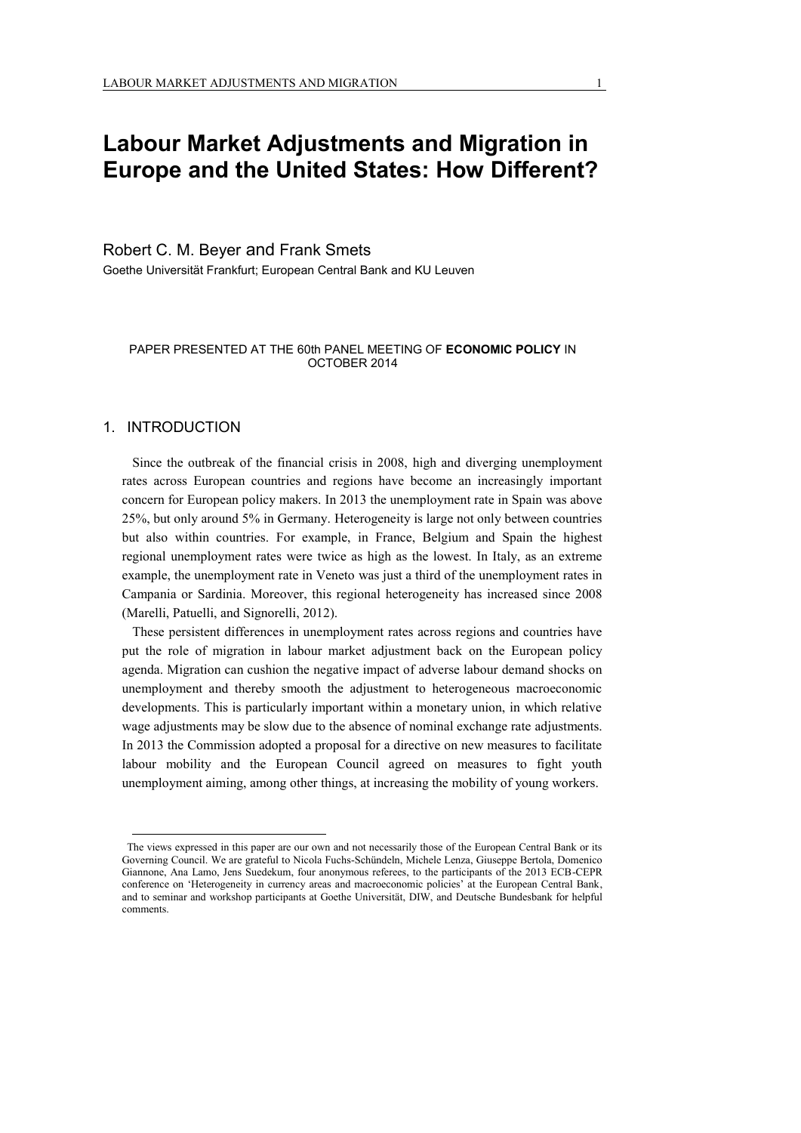# **Labour Market Adjustments and Migration in Europe and the United States: How Different?**

## Robert C. M. Beyer and Frank Smets

Goethe Universität Frankfurt; European Central Bank and KU Leuven

#### PAPER PRESENTED AT THE 60th PANEL MEETING OF **ECONOMIC POLICY** IN OCTOBER 2014

## 1. INTRODUCTION

 $\overline{a}$ 

Since the outbreak of the financial crisis in 2008, high and diverging unemployment rates across European countries and regions have become an increasingly important concern for European policy makers. In 2013 the unemployment rate in Spain was above 25%, but only around 5% in Germany. Heterogeneity is large not only between countries but also within countries. For example, in France, Belgium and Spain the highest regional unemployment rates were twice as high as the lowest. In Italy, as an extreme example, the unemployment rate in Veneto was just a third of the unemployment rates in Campania or Sardinia. Moreover, this regional heterogeneity has increased since 2008 (Marelli, Patuelli, and Signorelli, 2012).

These persistent differences in unemployment rates across regions and countries have put the role of migration in labour market adjustment back on the European policy agenda. Migration can cushion the negative impact of adverse labour demand shocks on unemployment and thereby smooth the adjustment to heterogeneous macroeconomic developments. This is particularly important within a monetary union, in which relative wage adjustments may be slow due to the absence of nominal exchange rate adjustments. In 2013 the Commission adopted a proposal for a directive on new measures to facilitate labour mobility and the European Council agreed on measures to fight youth unemployment aiming, among other things, at increasing the mobility of young workers.

The views expressed in this paper are our own and not necessarily those of the European Central Bank or its Governing Council. We are grateful to Nicola Fuchs-Schündeln, Michele Lenza, Giuseppe Bertola, Domenico Giannone, Ana Lamo, Jens Suedekum, four anonymous referees, to the participants of the 2013 ECB-CEPR conference on 'Heterogeneity in currency areas and macroeconomic policies' at the European Central Bank, and to seminar and workshop participants at Goethe Universität, DIW, and Deutsche Bundesbank for helpful comments.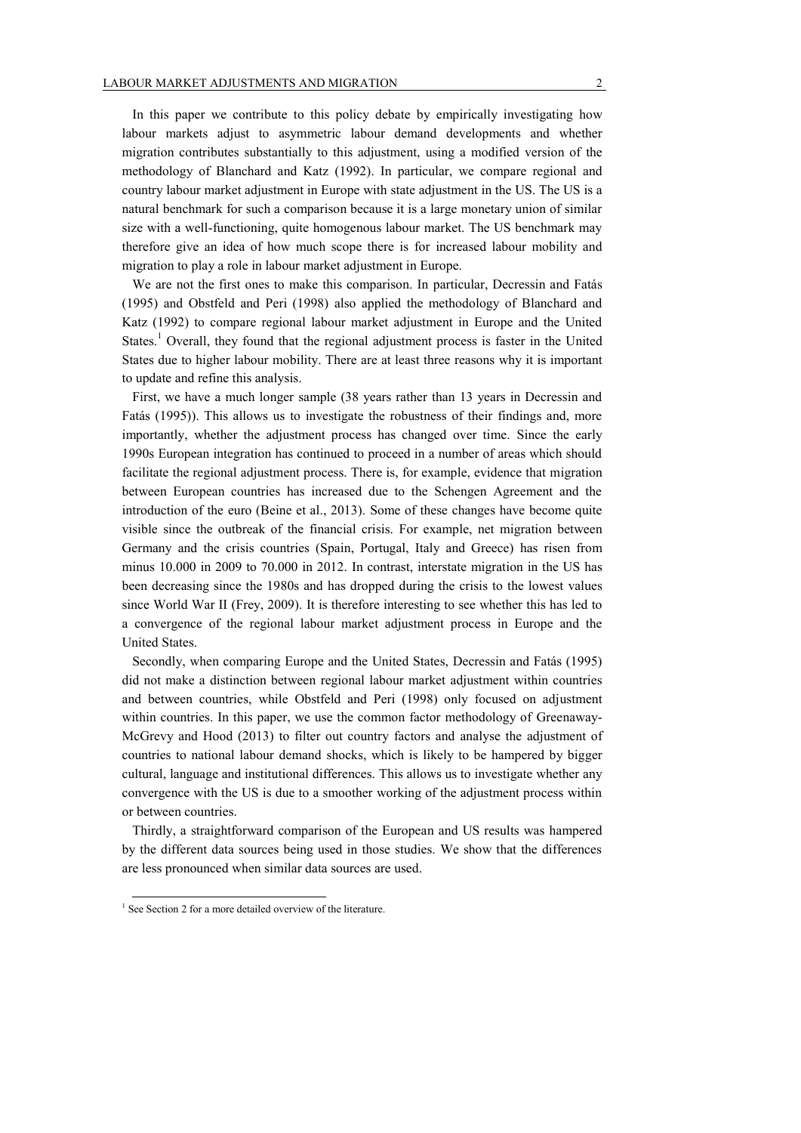In this paper we contribute to this policy debate by empirically investigating how labour markets adjust to asymmetric labour demand developments and whether migration contributes substantially to this adjustment, using a modified version of the methodology of Blanchard and Katz (1992). In particular, we compare regional and country labour market adjustment in Europe with state adjustment in the US. The US is a natural benchmark for such a comparison because it is a large monetary union of similar size with a well-functioning, quite homogenous labour market. The US benchmark may therefore give an idea of how much scope there is for increased labour mobility and migration to play a role in labour market adjustment in Europe.

We are not the first ones to make this comparison. In particular, Decressin and Fatás (1995) and Obstfeld and Peri (1998) also applied the methodology of Blanchard and Katz (1992) to compare regional labour market adjustment in Europe and the United States.<sup>1</sup> Overall, they found that the regional adjustment process is faster in the United States due to higher labour mobility. There are at least three reasons why it is important to update and refine this analysis.

First, we have a much longer sample (38 years rather than 13 years in Decressin and Fatás (1995)). This allows us to investigate the robustness of their findings and, more importantly, whether the adjustment process has changed over time. Since the early 1990s European integration has continued to proceed in a number of areas which should facilitate the regional adjustment process. There is, for example, evidence that migration between European countries has increased due to the Schengen Agreement and the introduction of the euro (Beine et al., 2013). Some of these changes have become quite visible since the outbreak of the financial crisis. For example, net migration between Germany and the crisis countries (Spain, Portugal, Italy and Greece) has risen from minus 10.000 in 2009 to 70.000 in 2012. In contrast, interstate migration in the US has been decreasing since the 1980s and has dropped during the crisis to the lowest values since World War II (Frey, 2009). It is therefore interesting to see whether this has led to a convergence of the regional labour market adjustment process in Europe and the United States.

Secondly, when comparing Europe and the United States, Decressin and Fatás (1995) did not make a distinction between regional labour market adjustment within countries and between countries, while Obstfeld and Peri (1998) only focused on adjustment within countries. In this paper, we use the common factor methodology of Greenaway-McGrevy and Hood (2013) to filter out country factors and analyse the adjustment of countries to national labour demand shocks, which is likely to be hampered by bigger cultural, language and institutional differences. This allows us to investigate whether any convergence with the US is due to a smoother working of the adjustment process within or between countries.

Thirdly, a straightforward comparison of the European and US results was hampered by the different data sources being used in those studies. We show that the differences are less pronounced when similar data sources are used.

<sup>&</sup>lt;sup>1</sup> See Section 2 for a more detailed overview of the literature.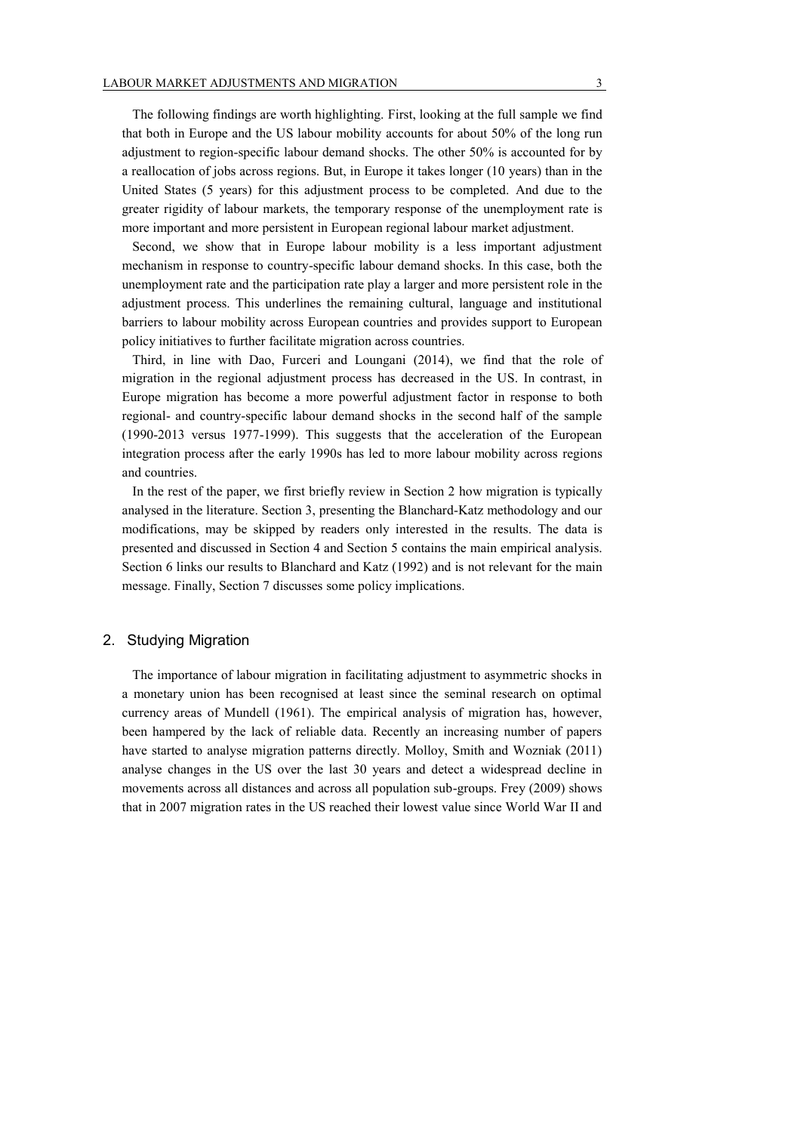The following findings are worth highlighting. First, looking at the full sample we find that both in Europe and the US labour mobility accounts for about 50% of the long run adjustment to region-specific labour demand shocks. The other 50% is accounted for by a reallocation of jobs across regions. But, in Europe it takes longer (10 years) than in the United States (5 years) for this adjustment process to be completed. And due to the greater rigidity of labour markets, the temporary response of the unemployment rate is more important and more persistent in European regional labour market adjustment.

Second, we show that in Europe labour mobility is a less important adjustment mechanism in response to country-specific labour demand shocks. In this case, both the unemployment rate and the participation rate play a larger and more persistent role in the adjustment process. This underlines the remaining cultural, language and institutional barriers to labour mobility across European countries and provides support to European policy initiatives to further facilitate migration across countries.

Third, in line with Dao, Furceri and Loungani (2014), we find that the role of migration in the regional adjustment process has decreased in the US. In contrast, in Europe migration has become a more powerful adjustment factor in response to both regional- and country-specific labour demand shocks in the second half of the sample (1990-2013 versus 1977-1999). This suggests that the acceleration of the European integration process after the early 1990s has led to more labour mobility across regions and countries.

In the rest of the paper, we first briefly review in Section 2 how migration is typically analysed in the literature. Section 3, presenting the Blanchard-Katz methodology and our modifications, may be skipped by readers only interested in the results. The data is presented and discussed in Section 4 and Section 5 contains the main empirical analysis. Section 6 links our results to Blanchard and Katz (1992) and is not relevant for the main message. Finally, Section 7 discusses some policy implications.

## 2. Studying Migration

The importance of labour migration in facilitating adjustment to asymmetric shocks in a monetary union has been recognised at least since the seminal research on optimal currency areas of Mundell (1961). The empirical analysis of migration has, however, been hampered by the lack of reliable data. Recently an increasing number of papers have started to analyse migration patterns directly. Molloy, Smith and Wozniak (2011) analyse changes in the US over the last 30 years and detect a widespread decline in movements across all distances and across all population sub-groups. Frey (2009) shows that in 2007 migration rates in the US reached their lowest value since World War II and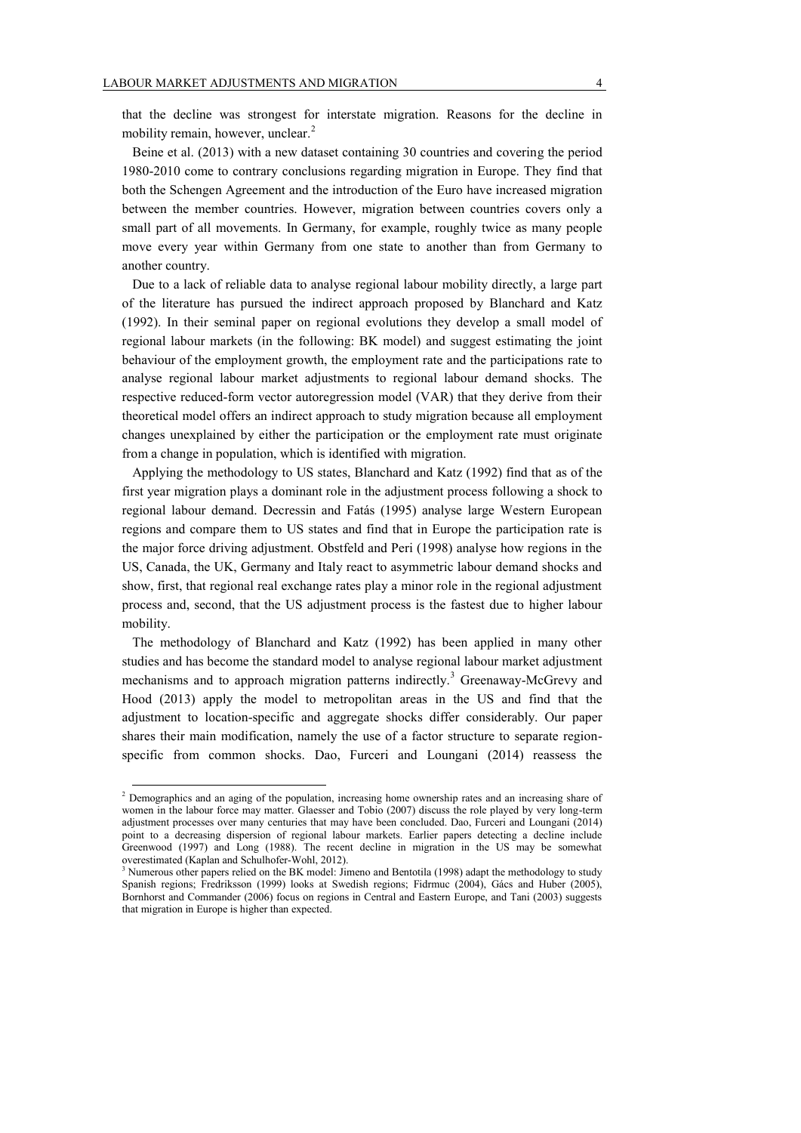that the decline was strongest for interstate migration. Reasons for the decline in mobility remain, however, unclear.<sup>2</sup>

Beine et al. (2013) with a new dataset containing 30 countries and covering the period 1980-2010 come to contrary conclusions regarding migration in Europe. They find that both the Schengen Agreement and the introduction of the Euro have increased migration between the member countries. However, migration between countries covers only a small part of all movements. In Germany, for example, roughly twice as many people move every year within Germany from one state to another than from Germany to another country.

Due to a lack of reliable data to analyse regional labour mobility directly, a large part of the literature has pursued the indirect approach proposed by Blanchard and Katz (1992). In their seminal paper on regional evolutions they develop a small model of regional labour markets (in the following: BK model) and suggest estimating the joint behaviour of the employment growth, the employment rate and the participations rate to analyse regional labour market adjustments to regional labour demand shocks. The respective reduced-form vector autoregression model (VAR) that they derive from their theoretical model offers an indirect approach to study migration because all employment changes unexplained by either the participation or the employment rate must originate from a change in population, which is identified with migration.

Applying the methodology to US states, Blanchard and Katz (1992) find that as of the first year migration plays a dominant role in the adjustment process following a shock to regional labour demand. Decressin and Fatás (1995) analyse large Western European regions and compare them to US states and find that in Europe the participation rate is the major force driving adjustment. Obstfeld and Peri (1998) analyse how regions in the US, Canada, the UK, Germany and Italy react to asymmetric labour demand shocks and show, first, that regional real exchange rates play a minor role in the regional adjustment process and, second, that the US adjustment process is the fastest due to higher labour mobility.

The methodology of Blanchard and Katz (1992) has been applied in many other studies and has become the standard model to analyse regional labour market adjustment mechanisms and to approach migration patterns indirectly.<sup>3</sup> Greenaway-McGrevy and Hood (2013) apply the model to metropolitan areas in the US and find that the adjustment to location-specific and aggregate shocks differ considerably. Our paper shares their main modification, namely the use of a factor structure to separate regionspecific from common shocks. Dao, Furceri and Loungani (2014) reassess the

<sup>&</sup>lt;sup>2</sup> Demographics and an aging of the population, increasing home ownership rates and an increasing share of women in the labour force may matter. Glaesser and Tobio (2007) discuss the role played by very long-term adjustment processes over many centuries that may have been concluded. Dao, Furceri and Loungani (2014) point to a decreasing dispersion of regional labour markets. Earlier papers detecting a decline include Greenwood (1997) and Long (1988). The recent decline in migration in the US may be somewhat overestimated (Kaplan and Schulhofer-Wohl, 2012).

<sup>&</sup>lt;sup>3</sup> Numerous other papers relied on the BK model: Jimeno and Bentotila (1998) adapt the methodology to study Spanish regions; Fredriksson (1999) looks at Swedish regions; Fidrmuc (2004), Gács and Huber (2005), Bornhorst and Commander (2006) focus on regions in Central and Eastern Europe, and Tani (2003) suggests that migration in Europe is higher than expected.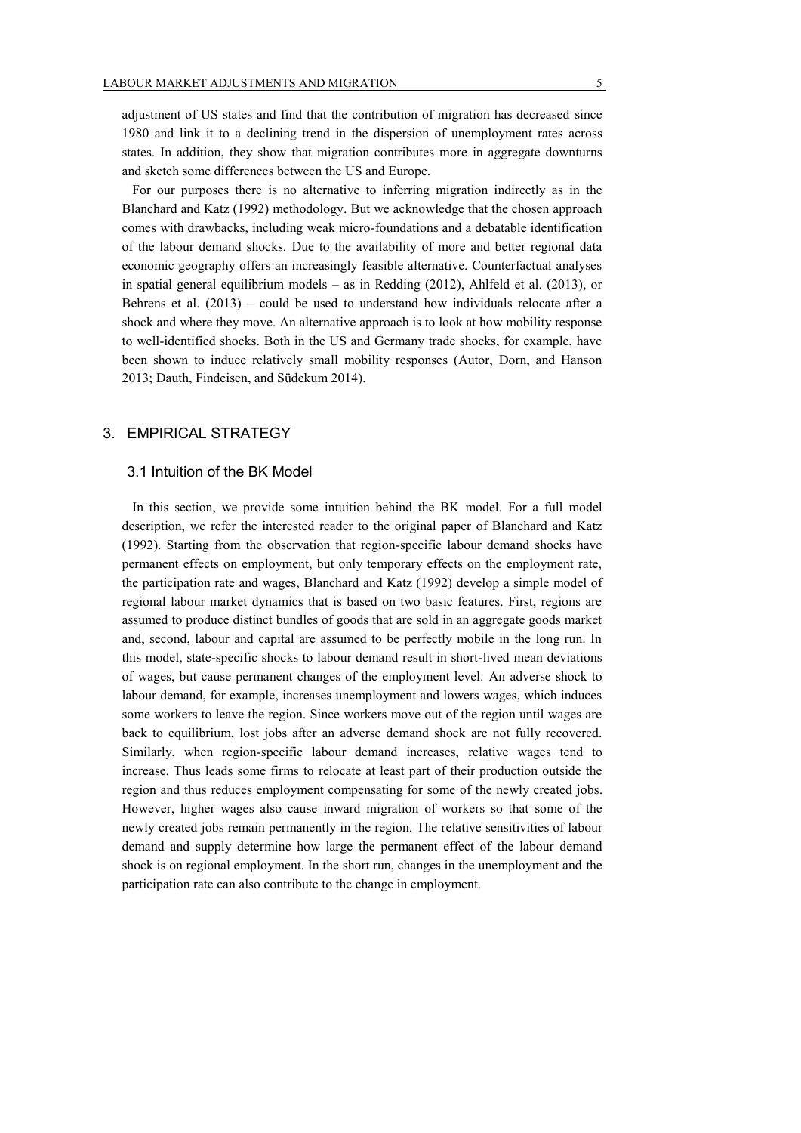adjustment of US states and find that the contribution of migration has decreased since 1980 and link it to a declining trend in the dispersion of unemployment rates across states. In addition, they show that migration contributes more in aggregate downturns and sketch some differences between the US and Europe.

For our purposes there is no alternative to inferring migration indirectly as in the Blanchard and Katz (1992) methodology. But we acknowledge that the chosen approach comes with drawbacks, including weak micro-foundations and a debatable identification of the labour demand shocks. Due to the availability of more and better regional data economic geography offers an increasingly feasible alternative. Counterfactual analyses in spatial general equilibrium models – as in Redding (2012), Ahlfeld et al. (2013), or Behrens et al.  $(2013)$  – could be used to understand how individuals relocate after a shock and where they move. An alternative approach is to look at how mobility response to well-identified shocks. Both in the US and Germany trade shocks, for example, have been shown to induce relatively small mobility responses (Autor, Dorn, and Hanson 2013; Dauth, Findeisen, and Südekum 2014).

## 3. EMPIRICAL STRATEGY

#### 3.1 Intuition of the BK Model

In this section, we provide some intuition behind the BK model. For a full model description, we refer the interested reader to the original paper of Blanchard and Katz (1992). Starting from the observation that region-specific labour demand shocks have permanent effects on employment, but only temporary effects on the employment rate, the participation rate and wages, Blanchard and Katz (1992) develop a simple model of regional labour market dynamics that is based on two basic features. First, regions are assumed to produce distinct bundles of goods that are sold in an aggregate goods market and, second, labour and capital are assumed to be perfectly mobile in the long run. In this model, state-specific shocks to labour demand result in short-lived mean deviations of wages, but cause permanent changes of the employment level. An adverse shock to labour demand, for example, increases unemployment and lowers wages, which induces some workers to leave the region. Since workers move out of the region until wages are back to equilibrium, lost jobs after an adverse demand shock are not fully recovered. Similarly, when region-specific labour demand increases, relative wages tend to increase. Thus leads some firms to relocate at least part of their production outside the region and thus reduces employment compensating for some of the newly created jobs. However, higher wages also cause inward migration of workers so that some of the newly created jobs remain permanently in the region. The relative sensitivities of labour demand and supply determine how large the permanent effect of the labour demand shock is on regional employment. In the short run, changes in the unemployment and the participation rate can also contribute to the change in employment.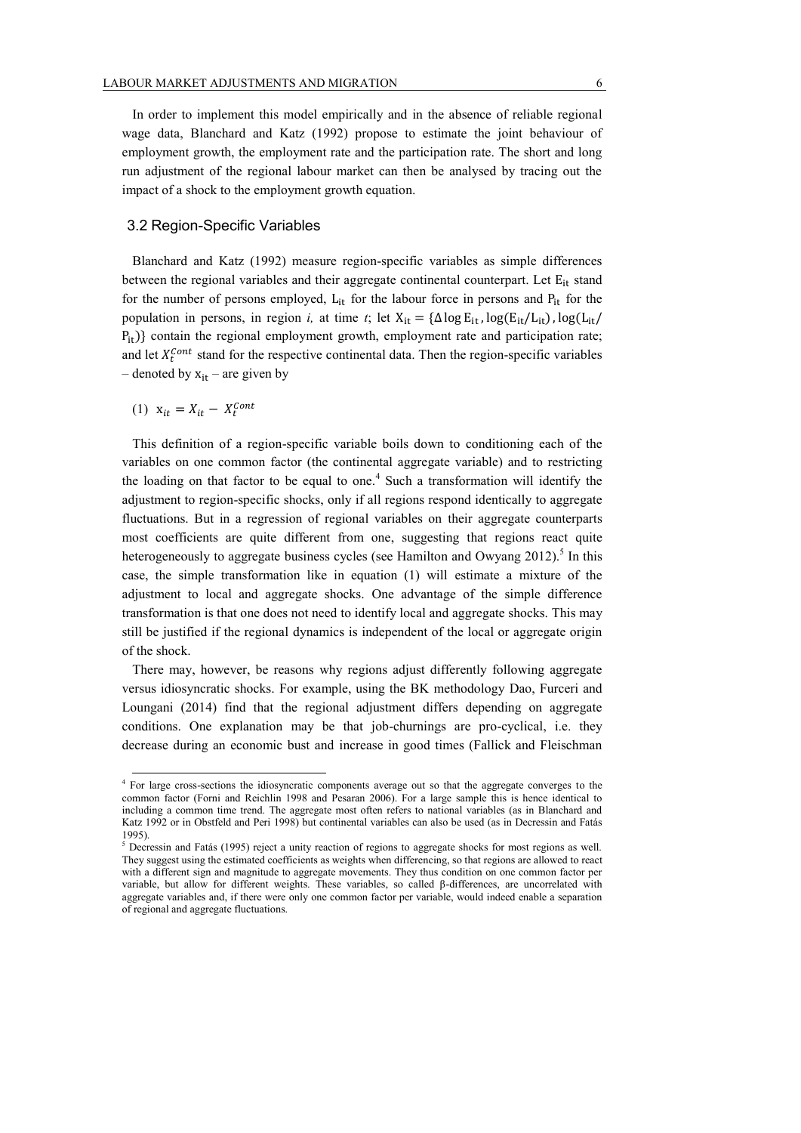In order to implement this model empirically and in the absence of reliable regional wage data, Blanchard and Katz (1992) propose to estimate the joint behaviour of employment growth, the employment rate and the participation rate. The short and long run adjustment of the regional labour market can then be analysed by tracing out the impact of a shock to the employment growth equation.

#### 3.2 Region-Specific Variables

Blanchard and Katz (1992) measure region-specific variables as simple differences between the regional variables and their aggregate continental counterpart. Let  $E_{it}$  stand for the number of persons employed,  $L_{it}$  for the labour force in persons and  $P_{it}$  for the population in persons, in region *i*, at time *t*; let  $X_{it} = {\Delta \log E_{it}}$ ,  $log(E_{it}/L_{it})$ ,  $log(L_{it}/L_{it})$  $P_{it}$ ) contain the regional employment growth, employment rate and participation rate; and let  $X_t^{Cont}$  stand for the respective continental data. Then the region-specific variables – denoted by  $x_{it}$  – are given by

$$
(1) x_{it} = X_{it} - X_t^{Cont}
$$

 $\overline{a}$ 

This definition of a region-specific variable boils down to conditioning each of the variables on one common factor (the continental aggregate variable) and to restricting the loading on that factor to be equal to one.<sup>4</sup> Such a transformation will identify the adjustment to region-specific shocks, only if all regions respond identically to aggregate fluctuations. But in a regression of regional variables on their aggregate counterparts most coefficients are quite different from one, suggesting that regions react quite heterogeneously to aggregate business cycles (see Hamilton and Owyang 2012).<sup>5</sup> In this case, the simple transformation like in equation (1) will estimate a mixture of the adjustment to local and aggregate shocks. One advantage of the simple difference transformation is that one does not need to identify local and aggregate shocks. This may still be justified if the regional dynamics is independent of the local or aggregate origin of the shock.

There may, however, be reasons why regions adjust differently following aggregate versus idiosyncratic shocks. For example, using the BK methodology Dao, Furceri and Loungani (2014) find that the regional adjustment differs depending on aggregate conditions. One explanation may be that job-churnings are pro-cyclical, i.e. they decrease during an economic bust and increase in good times (Fallick and Fleischman

<sup>4</sup> For large cross-sections the idiosyncratic components average out so that the aggregate converges to the common factor (Forni and Reichlin 1998 and Pesaran 2006). For a large sample this is hence identical to including a common time trend. The aggregate most often refers to national variables (as in Blanchard and Katz 1992 or in Obstfeld and Peri 1998) but continental variables can also be used (as in Decressin and Fatás 1995).

<sup>&</sup>lt;sup>5</sup> Decressin and Fatás (1995) reject a unity reaction of regions to aggregate shocks for most regions as well. They suggest using the estimated coefficients as weights when differencing, so that regions are allowed to react with a different sign and magnitude to aggregate movements. They thus condition on one common factor per variable, but allow for different weights. These variables, so called β-differences, are uncorrelated with aggregate variables and, if there were only one common factor per variable, would indeed enable a separation of regional and aggregate fluctuations.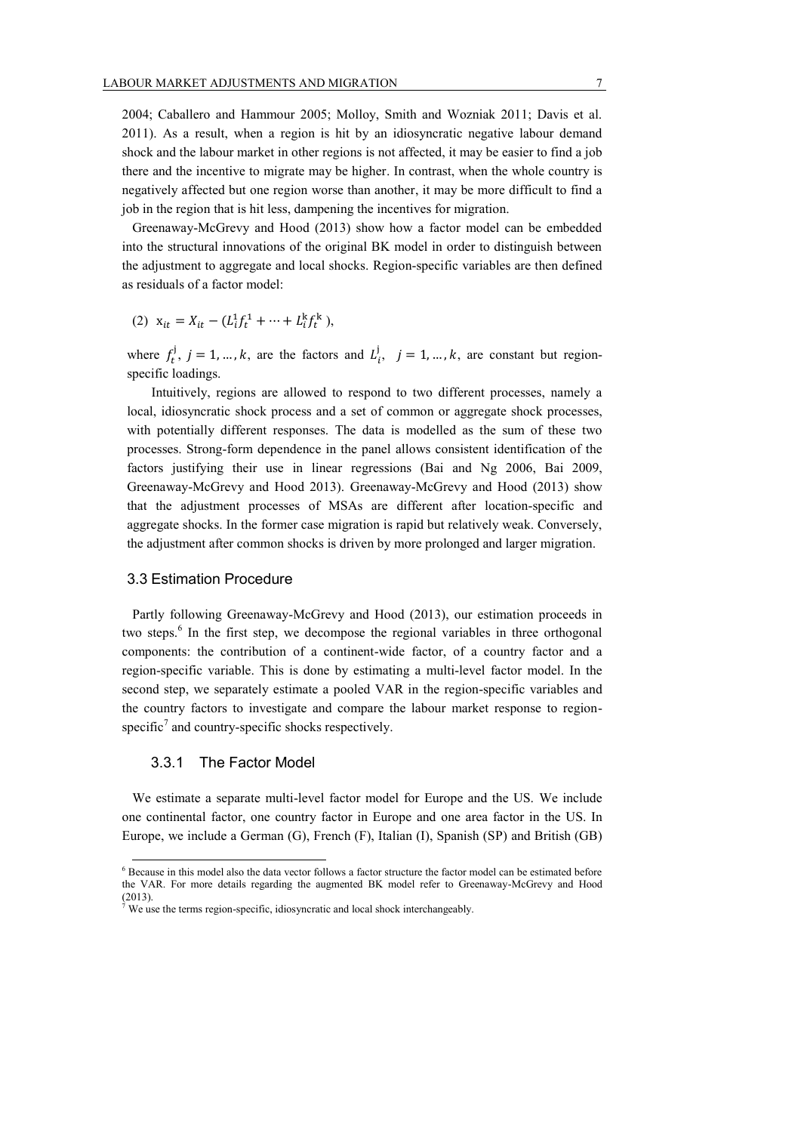2004; Caballero and Hammour 2005; Molloy, Smith and Wozniak 2011; Davis et al. 2011). As a result, when a region is hit by an idiosyncratic negative labour demand shock and the labour market in other regions is not affected, it may be easier to find a job there and the incentive to migrate may be higher. In contrast, when the whole country is negatively affected but one region worse than another, it may be more difficult to find a job in the region that is hit less, dampening the incentives for migration.

Greenaway-McGrevy and Hood (2013) show how a factor model can be embedded into the structural innovations of the original BK model in order to distinguish between the adjustment to aggregate and local shocks. Region-specific variables are then defined as residuals of a factor model:

(2) 
$$
x_{it} = X_{it} - (L_i^1 f_t^1 + \dots + L_i^k f_t^k),
$$

where  $f_t^j$ ,  $j = 1, ..., k$ , are the factors and  $L_i^j$ ,  $j = 1, ..., k$ , are constant but regionspecific loadings.

Intuitively, regions are allowed to respond to two different processes, namely a local, idiosyncratic shock process and a set of common or aggregate shock processes, with potentially different responses. The data is modelled as the sum of these two processes. Strong-form dependence in the panel allows consistent identification of the factors justifying their use in linear regressions (Bai and Ng 2006, Bai 2009, Greenaway-McGrevy and Hood 2013). Greenaway-McGrevy and Hood (2013) show that the adjustment processes of MSAs are different after location-specific and aggregate shocks. In the former case migration is rapid but relatively weak. Conversely, the adjustment after common shocks is driven by more prolonged and larger migration.

#### 3.3 Estimation Procedure

Partly following Greenaway-McGrevy and Hood (2013), our estimation proceeds in two steps. 6 In the first step, we decompose the regional variables in three orthogonal components: the contribution of a continent-wide factor, of a country factor and a region-specific variable. This is done by estimating a multi-level factor model. In the second step, we separately estimate a pooled VAR in the region-specific variables and the country factors to investigate and compare the labour market response to regionspecific<sup>7</sup> and country-specific shocks respectively.

#### 3.3.1 The Factor Model

 $\overline{a}$ 

We estimate a separate multi-level factor model for Europe and the US. We include one continental factor, one country factor in Europe and one area factor in the US. In Europe, we include a German (G), French (F), Italian (I), Spanish (SP) and British (GB)

<sup>6</sup> Because in this model also the data vector follows a factor structure the factor model can be estimated before the VAR. For more details regarding the augmented BK model refer to Greenaway-McGrevy and Hood (2013).

We use the terms region-specific, idiosyncratic and local shock interchangeably.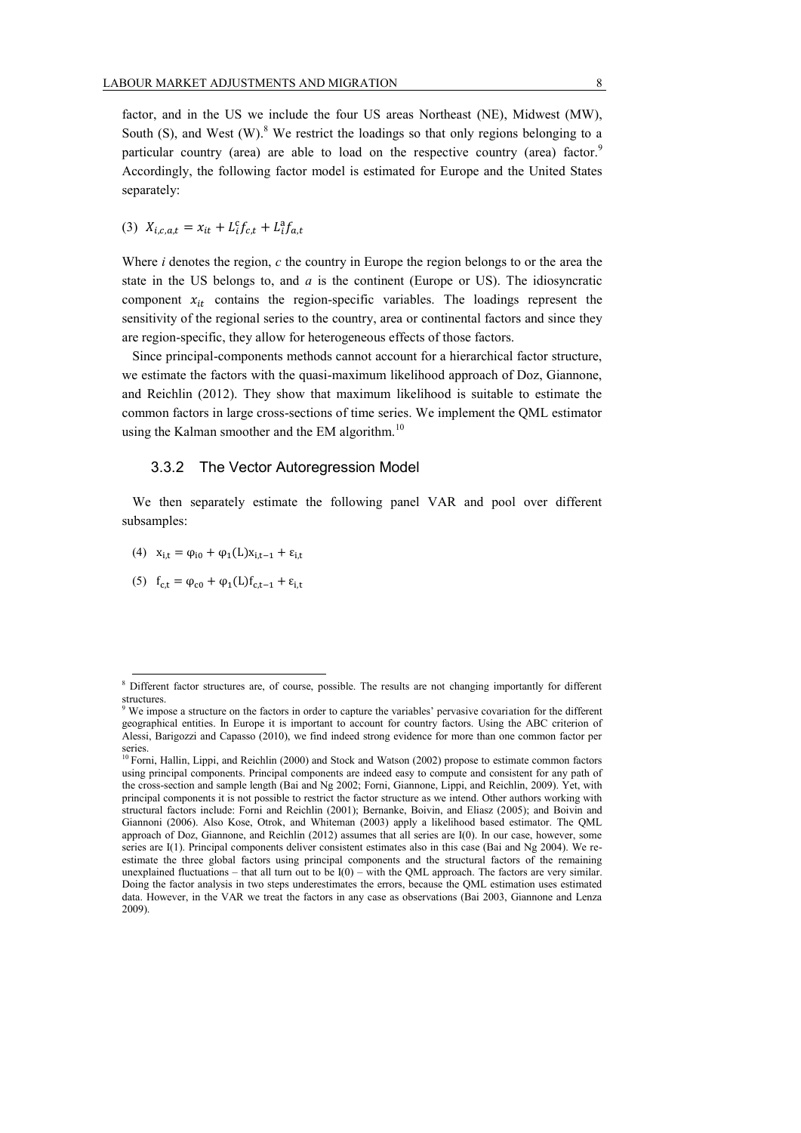factor, and in the US we include the four US areas Northeast (NE), Midwest (MW), South (S), and West  $(W)$ .<sup>8</sup> We restrict the loadings so that only regions belonging to a particular country (area) are able to load on the respective country (area) factor.<sup>9</sup> Accordingly, the following factor model is estimated for Europe and the United States separately:

(3) 
$$
X_{i,c,a,t} = x_{it} + L_i^c f_{c,t} + L_i^a f_{a,t}
$$

Where *i* denotes the region, *c* the country in Europe the region belongs to or the area the state in the US belongs to, and *a* is the continent (Europe or US). The idiosyncratic component  $x_{it}$  contains the region-specific variables. The loadings represent the sensitivity of the regional series to the country, area or continental factors and since they are region-specific, they allow for heterogeneous effects of those factors.

Since principal-components methods cannot account for a hierarchical factor structure, we estimate the factors with the quasi-maximum likelihood approach of Doz, Giannone, and Reichlin (2012). They show that maximum likelihood is suitable to estimate the common factors in large cross-sections of time series. We implement the QML estimator using the Kalman smoother and the EM algorithm.<sup>10</sup>

#### 3.3.2 The Vector Autoregression Model

We then separately estimate the following panel VAR and pool over different subsamples:

- (4)  $x_{i,t} = \varphi_{i0} + \varphi_1(L)x_{i,t-1} + \varepsilon_{i,t}$
- (5)  $f_{c,t} = \varphi_{c0} + \varphi_1(L)f_{c,t-1} + \varepsilon_{i,t}$

<sup>8</sup> Different factor structures are, of course, possible. The results are not changing importantly for different structures.

<sup>&</sup>lt;sup>9</sup> We impose a structure on the factors in order to capture the variables' pervasive covariation for the different geographical entities. In Europe it is important to account for country factors. Using the ABC criterion of Alessi, Barigozzi and Capasso (2010), we find indeed strong evidence for more than one common factor per series.

<sup>&</sup>lt;sup>10</sup> Forni, Hallin, Lippi, and Reichlin (2000) and Stock and Watson (2002) propose to estimate common factors using principal components. Principal components are indeed easy to compute and consistent for any path of the cross-section and sample length (Bai and Ng 2002; Forni, Giannone, Lippi, and Reichlin, 2009). Yet, with principal components it is not possible to restrict the factor structure as we intend. Other authors working with structural factors include: Forni and Reichlin (2001); Bernanke, Boivin, and Eliasz (2005); and Boivin and Giannoni (2006). Also Kose, Otrok, and Whiteman (2003) apply a likelihood based estimator. The QML approach of Doz, Giannone, and Reichlin (2012) assumes that all series are I(0). In our case, however, some series are I(1). Principal components deliver consistent estimates also in this case (Bai and Ng 2004). We reestimate the three global factors using principal components and the structural factors of the remaining unexplained fluctuations – that all turn out to be  $I(0)$  – with the QML approach. The factors are very similar. Doing the factor analysis in two steps underestimates the errors, because the QML estimation uses estimated data. However, in the VAR we treat the factors in any case as observations (Bai 2003, Giannone and Lenza 2009).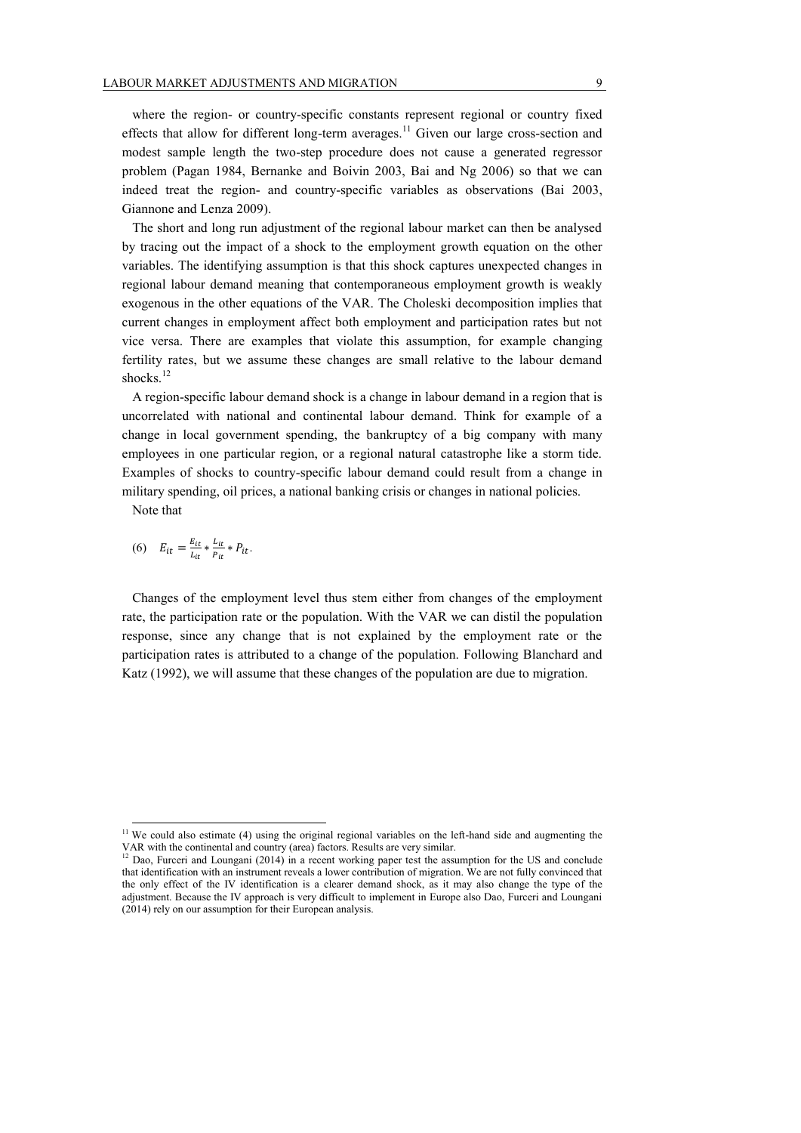where the region- or country-specific constants represent regional or country fixed effects that allow for different long-term averages.<sup>11</sup> Given our large cross-section and modest sample length the two-step procedure does not cause a generated regressor problem (Pagan 1984, Bernanke and Boivin 2003, Bai and Ng 2006) so that we can indeed treat the region- and country-specific variables as observations (Bai 2003, Giannone and Lenza 2009).

The short and long run adjustment of the regional labour market can then be analysed by tracing out the impact of a shock to the employment growth equation on the other variables. The identifying assumption is that this shock captures unexpected changes in regional labour demand meaning that contemporaneous employment growth is weakly exogenous in the other equations of the VAR. The Choleski decomposition implies that current changes in employment affect both employment and participation rates but not vice versa. There are examples that violate this assumption, for example changing fertility rates, but we assume these changes are small relative to the labour demand shocks. 12

A region-specific labour demand shock is a change in labour demand in a region that is uncorrelated with national and continental labour demand. Think for example of a change in local government spending, the bankruptcy of a big company with many employees in one particular region, or a regional natural catastrophe like a storm tide. Examples of shocks to country-specific labour demand could result from a change in military spending, oil prices, a national banking crisis or changes in national policies.

Note that

 $\overline{a}$ 

(6) 
$$
E_{it} = \frac{E_{it}}{L_{it}} * \frac{L_{it}}{P_{it}} * P_{it}.
$$

Changes of the employment level thus stem either from changes of the employment rate, the participation rate or the population. With the VAR we can distil the population response, since any change that is not explained by the employment rate or the participation rates is attributed to a change of the population. Following Blanchard and Katz (1992), we will assume that these changes of the population are due to migration.

 $11$  We could also estimate (4) using the original regional variables on the left-hand side and augmenting the VAR with the continental and country (area) factors. Results are very similar.

 $12$  Dao, Furceri and Loungani (2014) in a recent working paper test the assumption for the US and conclude that identification with an instrument reveals a lower contribution of migration. We are not fully convinced that the only effect of the IV identification is a clearer demand shock, as it may also change the type of the adjustment. Because the IV approach is very difficult to implement in Europe also Dao, Furceri and Loungani (2014) rely on our assumption for their European analysis.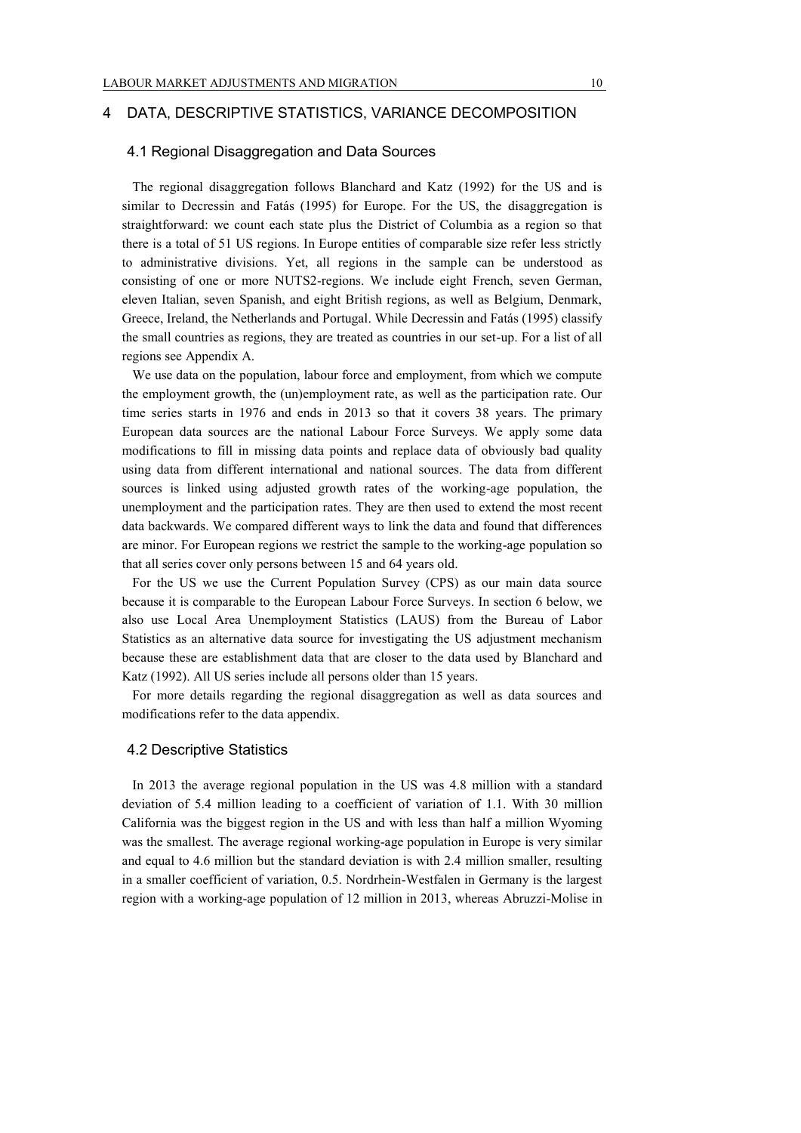### 4 DATA, DESCRIPTIVE STATISTICS, VARIANCE DECOMPOSITION

### 4.1 Regional Disaggregation and Data Sources

The regional disaggregation follows Blanchard and Katz (1992) for the US and is similar to Decressin and Fatás (1995) for Europe. For the US, the disaggregation is straightforward: we count each state plus the District of Columbia as a region so that there is a total of 51 US regions. In Europe entities of comparable size refer less strictly to administrative divisions. Yet, all regions in the sample can be understood as consisting of one or more NUTS2-regions. We include eight French, seven German, eleven Italian, seven Spanish, and eight British regions, as well as Belgium, Denmark, Greece, Ireland, the Netherlands and Portugal. While Decressin and Fatás (1995) classify the small countries as regions, they are treated as countries in our set-up. For a list of all regions see Appendix A.

We use data on the population, labour force and employment, from which we compute the employment growth, the (un)employment rate, as well as the participation rate. Our time series starts in 1976 and ends in 2013 so that it covers 38 years. The primary European data sources are the national Labour Force Surveys. We apply some data modifications to fill in missing data points and replace data of obviously bad quality using data from different international and national sources. The data from different sources is linked using adjusted growth rates of the working-age population, the unemployment and the participation rates. They are then used to extend the most recent data backwards. We compared different ways to link the data and found that differences are minor. For European regions we restrict the sample to the working-age population so that all series cover only persons between 15 and 64 years old.

For the US we use the Current Population Survey (CPS) as our main data source because it is comparable to the European Labour Force Surveys. In section 6 below, we also use Local Area Unemployment Statistics (LAUS) from the Bureau of Labor Statistics as an alternative data source for investigating the US adjustment mechanism because these are establishment data that are closer to the data used by Blanchard and Katz (1992). All US series include all persons older than 15 years.

For more details regarding the regional disaggregation as well as data sources and modifications refer to the data appendix.

#### 4.2 Descriptive Statistics

In 2013 the average regional population in the US was 4.8 million with a standard deviation of 5.4 million leading to a coefficient of variation of 1.1. With 30 million California was the biggest region in the US and with less than half a million Wyoming was the smallest. The average regional working-age population in Europe is very similar and equal to 4.6 million but the standard deviation is with 2.4 million smaller, resulting in a smaller coefficient of variation, 0.5. Nordrhein-Westfalen in Germany is the largest region with a working-age population of 12 million in 2013, whereas Abruzzi-Molise in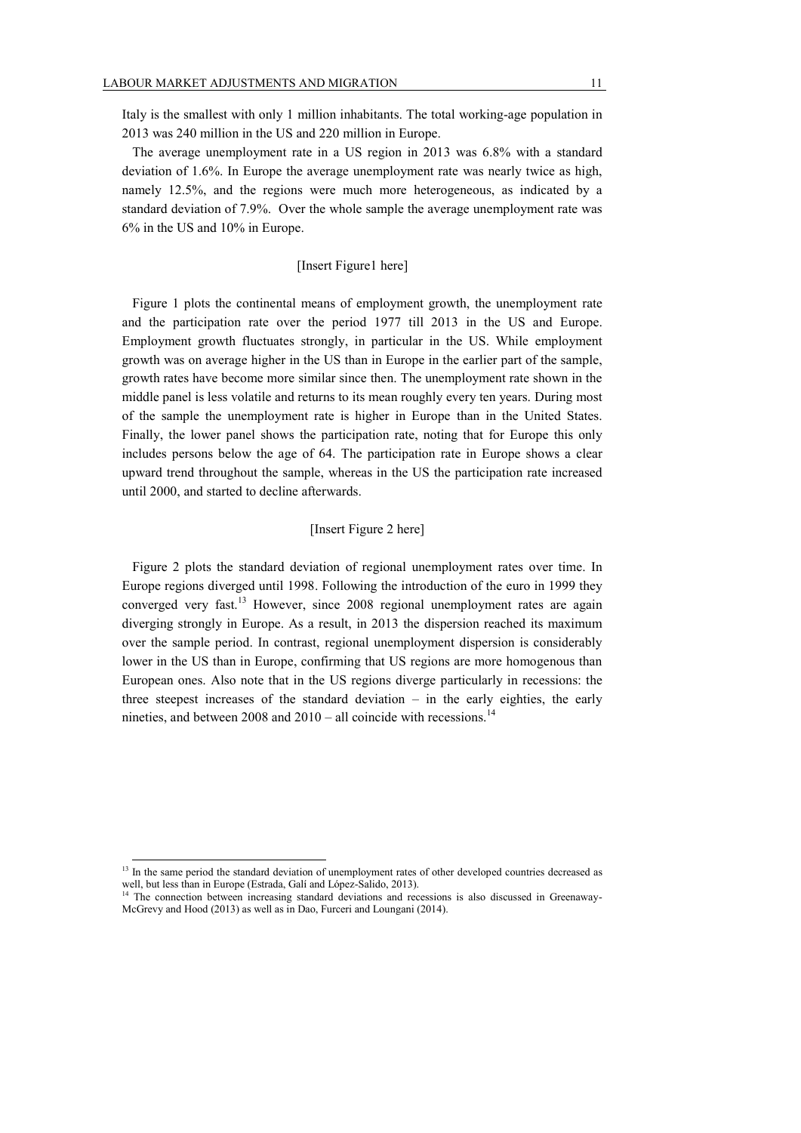Italy is the smallest with only 1 million inhabitants. The total working-age population in 2013 was 240 million in the US and 220 million in Europe.

The average unemployment rate in a US region in 2013 was 6.8% with a standard deviation of 1.6%. In Europe the average unemployment rate was nearly twice as high, namely 12.5%, and the regions were much more heterogeneous, as indicated by a standard deviation of 7.9%. Over the whole sample the average unemployment rate was 6% in the US and 10% in Europe.

#### [Insert Figure1 here]

Figure 1 plots the continental means of employment growth, the unemployment rate and the participation rate over the period 1977 till 2013 in the US and Europe. Employment growth fluctuates strongly, in particular in the US. While employment growth was on average higher in the US than in Europe in the earlier part of the sample, growth rates have become more similar since then. The unemployment rate shown in the middle panel is less volatile and returns to its mean roughly every ten years. During most of the sample the unemployment rate is higher in Europe than in the United States. Finally, the lower panel shows the participation rate, noting that for Europe this only includes persons below the age of 64. The participation rate in Europe shows a clear upward trend throughout the sample, whereas in the US the participation rate increased until 2000, and started to decline afterwards.

## [Insert Figure 2 here]

Figure 2 plots the standard deviation of regional unemployment rates over time. In Europe regions diverged until 1998. Following the introduction of the euro in 1999 they converged very fast.<sup>13</sup> However, since 2008 regional unemployment rates are again diverging strongly in Europe. As a result, in 2013 the dispersion reached its maximum over the sample period. In contrast, regional unemployment dispersion is considerably lower in the US than in Europe, confirming that US regions are more homogenous than European ones. Also note that in the US regions diverge particularly in recessions: the three steepest increases of the standard deviation – in the early eighties, the early nineties, and between  $2008$  and  $2010 -$  all coincide with recessions.<sup>14</sup>

<sup>&</sup>lt;sup>13</sup> In the same period the standard deviation of unemployment rates of other developed countries decreased as well, but less than in Europe (Estrada, Galí and López-Salido, 2013).

<sup>&</sup>lt;sup>14</sup> The connection between increasing standard deviations and recessions is also discussed in Greenaway-McGrevy and Hood (2013) as well as in Dao, Furceri and Loungani (2014).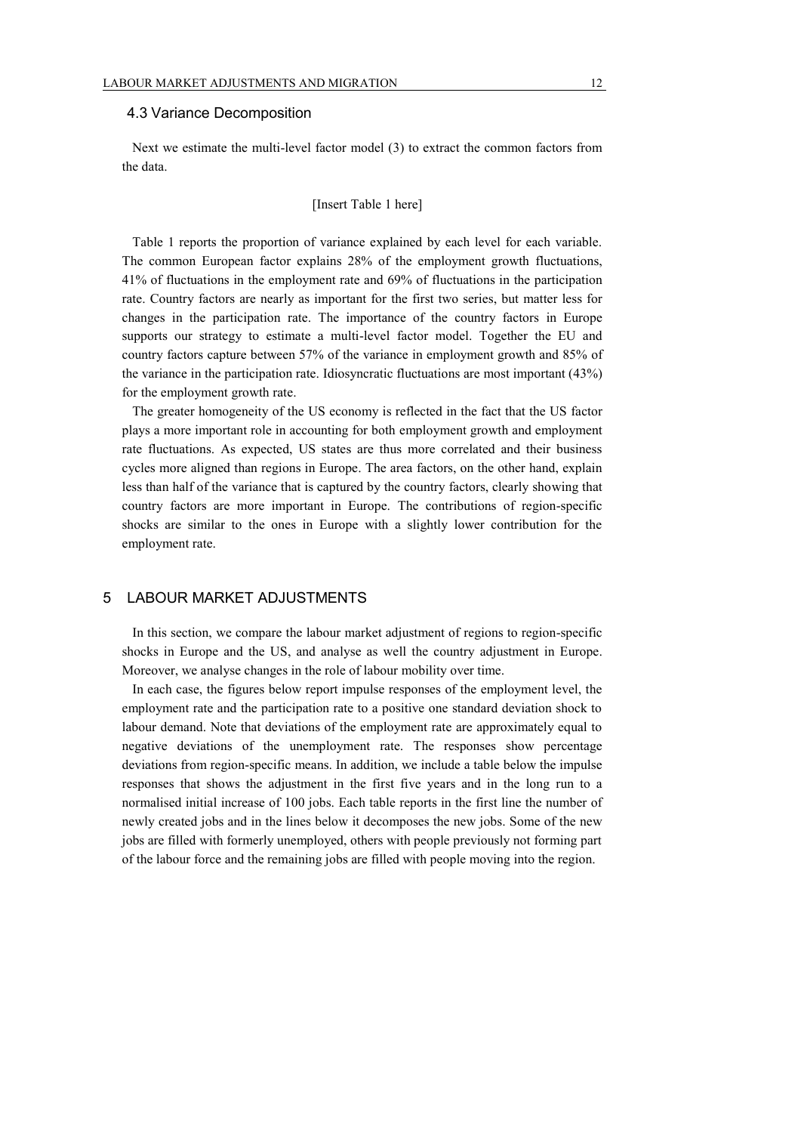#### 4.3 Variance Decomposition

Next we estimate the multi-level factor model (3) to extract the common factors from the data.

### [Insert Table 1 here]

Table 1 reports the proportion of variance explained by each level for each variable. The common European factor explains 28% of the employment growth fluctuations, 41% of fluctuations in the employment rate and 69% of fluctuations in the participation rate. Country factors are nearly as important for the first two series, but matter less for changes in the participation rate. The importance of the country factors in Europe supports our strategy to estimate a multi-level factor model. Together the EU and country factors capture between 57% of the variance in employment growth and 85% of the variance in the participation rate. Idiosyncratic fluctuations are most important (43%) for the employment growth rate.

The greater homogeneity of the US economy is reflected in the fact that the US factor plays a more important role in accounting for both employment growth and employment rate fluctuations. As expected, US states are thus more correlated and their business cycles more aligned than regions in Europe. The area factors, on the other hand, explain less than half of the variance that is captured by the country factors, clearly showing that country factors are more important in Europe. The contributions of region-specific shocks are similar to the ones in Europe with a slightly lower contribution for the employment rate.

## 5 LABOUR MARKET ADJUSTMENTS

In this section, we compare the labour market adjustment of regions to region-specific shocks in Europe and the US, and analyse as well the country adjustment in Europe. Moreover, we analyse changes in the role of labour mobility over time.

In each case, the figures below report impulse responses of the employment level, the employment rate and the participation rate to a positive one standard deviation shock to labour demand. Note that deviations of the employment rate are approximately equal to negative deviations of the unemployment rate. The responses show percentage deviations from region-specific means. In addition, we include a table below the impulse responses that shows the adjustment in the first five years and in the long run to a normalised initial increase of 100 jobs. Each table reports in the first line the number of newly created jobs and in the lines below it decomposes the new jobs. Some of the new jobs are filled with formerly unemployed, others with people previously not forming part of the labour force and the remaining jobs are filled with people moving into the region.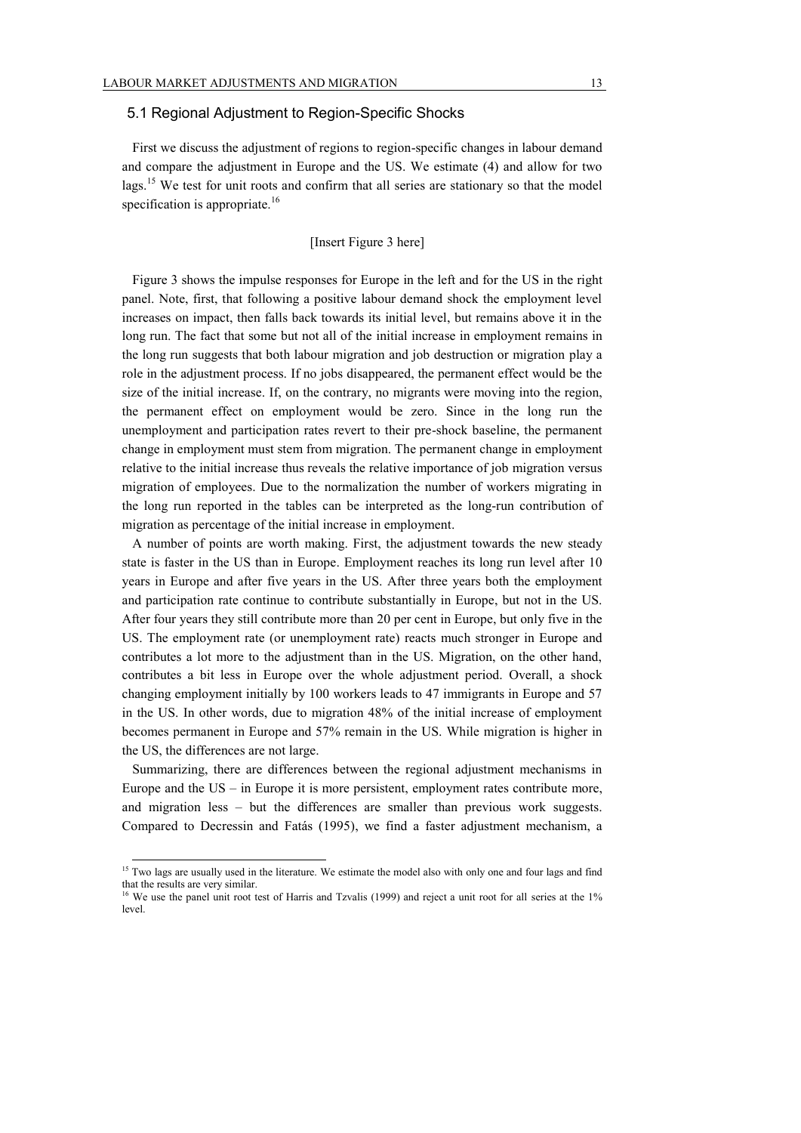#### 5.1 Regional Adjustment to Region-Specific Shocks

First we discuss the adjustment of regions to region-specific changes in labour demand and compare the adjustment in Europe and the US. We estimate (4) and allow for two lags.<sup>15</sup> We test for unit roots and confirm that all series are stationary so that the model specification is appropriate.<sup>16</sup>

## [Insert Figure 3 here]

Figure 3 shows the impulse responses for Europe in the left and for the US in the right panel. Note, first, that following a positive labour demand shock the employment level increases on impact, then falls back towards its initial level, but remains above it in the long run. The fact that some but not all of the initial increase in employment remains in the long run suggests that both labour migration and job destruction or migration play a role in the adjustment process. If no jobs disappeared, the permanent effect would be the size of the initial increase. If, on the contrary, no migrants were moving into the region, the permanent effect on employment would be zero. Since in the long run the unemployment and participation rates revert to their pre-shock baseline, the permanent change in employment must stem from migration. The permanent change in employment relative to the initial increase thus reveals the relative importance of job migration versus migration of employees. Due to the normalization the number of workers migrating in the long run reported in the tables can be interpreted as the long-run contribution of migration as percentage of the initial increase in employment.

A number of points are worth making. First, the adjustment towards the new steady state is faster in the US than in Europe. Employment reaches its long run level after 10 years in Europe and after five years in the US. After three years both the employment and participation rate continue to contribute substantially in Europe, but not in the US. After four years they still contribute more than 20 per cent in Europe, but only five in the US. The employment rate (or unemployment rate) reacts much stronger in Europe and contributes a lot more to the adjustment than in the US. Migration, on the other hand, contributes a bit less in Europe over the whole adjustment period. Overall, a shock changing employment initially by 100 workers leads to 47 immigrants in Europe and 57 in the US. In other words, due to migration 48% of the initial increase of employment becomes permanent in Europe and 57% remain in the US. While migration is higher in the US, the differences are not large.

Summarizing, there are differences between the regional adjustment mechanisms in Europe and the US – in Europe it is more persistent, employment rates contribute more, and migration less – but the differences are smaller than previous work suggests. Compared to Decressin and Fatás (1995), we find a faster adjustment mechanism, a

<sup>&</sup>lt;sup>15</sup> Two lags are usually used in the literature. We estimate the model also with only one and four lags and find that the results are very similar.

<sup>&</sup>lt;sup>16</sup> We use the panel unit root test of Harris and Tzvalis (1999) and reject a unit root for all series at the 1% level.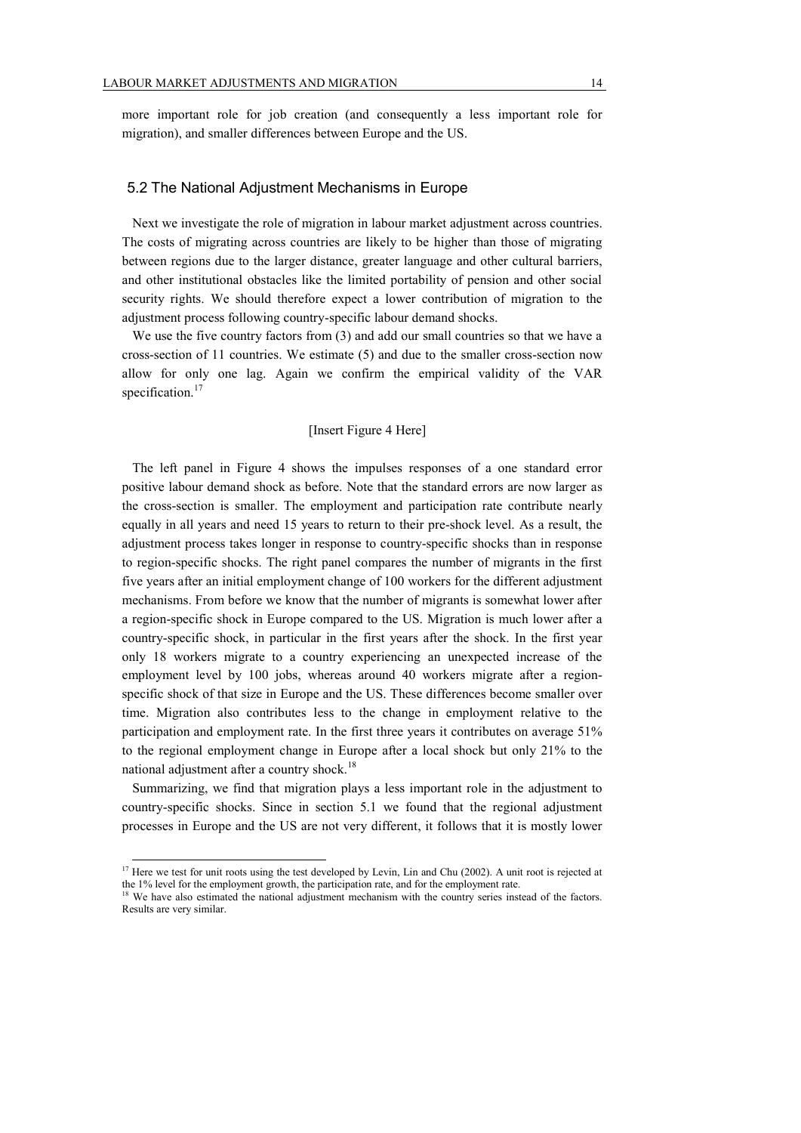more important role for job creation (and consequently a less important role for migration), and smaller differences between Europe and the US.

#### 5.2 The National Adjustment Mechanisms in Europe

Next we investigate the role of migration in labour market adjustment across countries. The costs of migrating across countries are likely to be higher than those of migrating between regions due to the larger distance, greater language and other cultural barriers, and other institutional obstacles like the limited portability of pension and other social security rights. We should therefore expect a lower contribution of migration to the adjustment process following country-specific labour demand shocks.

We use the five country factors from (3) and add our small countries so that we have a cross-section of 11 countries. We estimate (5) and due to the smaller cross-section now allow for only one lag. Again we confirm the empirical validity of the VAR specification.<sup>17</sup>

#### [Insert Figure 4 Here]

The left panel in Figure 4 shows the impulses responses of a one standard error positive labour demand shock as before. Note that the standard errors are now larger as the cross-section is smaller. The employment and participation rate contribute nearly equally in all years and need 15 years to return to their pre-shock level. As a result, the adjustment process takes longer in response to country-specific shocks than in response to region-specific shocks. The right panel compares the number of migrants in the first five years after an initial employment change of 100 workers for the different adjustment mechanisms. From before we know that the number of migrants is somewhat lower after a region-specific shock in Europe compared to the US. Migration is much lower after a country-specific shock, in particular in the first years after the shock. In the first year only 18 workers migrate to a country experiencing an unexpected increase of the employment level by 100 jobs, whereas around 40 workers migrate after a regionspecific shock of that size in Europe and the US. These differences become smaller over time. Migration also contributes less to the change in employment relative to the participation and employment rate. In the first three years it contributes on average 51% to the regional employment change in Europe after a local shock but only 21% to the national adjustment after a country shock.<sup>18</sup>

Summarizing, we find that migration plays a less important role in the adjustment to country-specific shocks. Since in section 5.1 we found that the regional adjustment processes in Europe and the US are not very different, it follows that it is mostly lower

 $17$  Here we test for unit roots using the test developed by Levin, Lin and Chu (2002). A unit root is rejected at the 1% level for the employment growth, the participation rate, and for the employment rate.

<sup>&</sup>lt;sup>18</sup> We have also estimated the national adjustment mechanism with the country series instead of the factors. Results are very similar.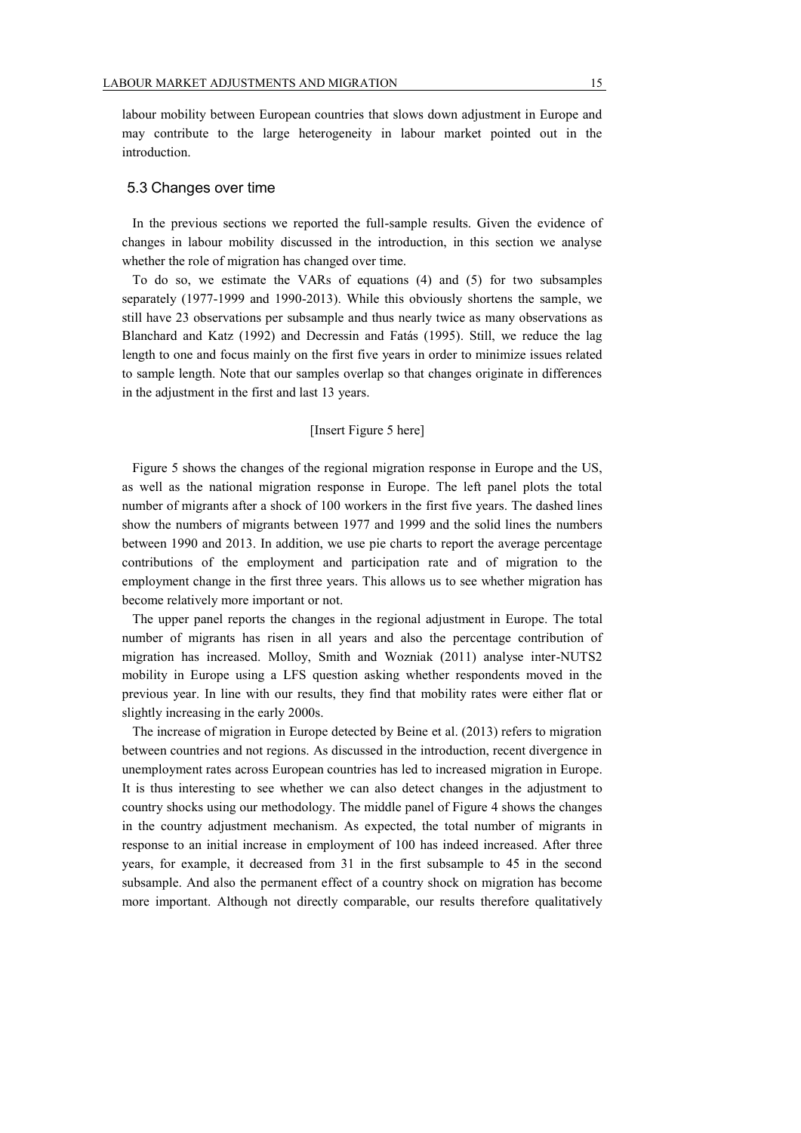labour mobility between European countries that slows down adjustment in Europe and may contribute to the large heterogeneity in labour market pointed out in the introduction.

#### 5.3 Changes over time

In the previous sections we reported the full-sample results. Given the evidence of changes in labour mobility discussed in the introduction, in this section we analyse whether the role of migration has changed over time.

To do so, we estimate the VARs of equations (4) and (5) for two subsamples separately (1977-1999 and 1990-2013). While this obviously shortens the sample, we still have 23 observations per subsample and thus nearly twice as many observations as Blanchard and Katz (1992) and Decressin and Fatás (1995). Still, we reduce the lag length to one and focus mainly on the first five years in order to minimize issues related to sample length. Note that our samples overlap so that changes originate in differences in the adjustment in the first and last 13 years.

#### [Insert Figure 5 here]

Figure 5 shows the changes of the regional migration response in Europe and the US, as well as the national migration response in Europe. The left panel plots the total number of migrants after a shock of 100 workers in the first five years. The dashed lines show the numbers of migrants between 1977 and 1999 and the solid lines the numbers between 1990 and 2013. In addition, we use pie charts to report the average percentage contributions of the employment and participation rate and of migration to the employment change in the first three years. This allows us to see whether migration has become relatively more important or not.

The upper panel reports the changes in the regional adjustment in Europe. The total number of migrants has risen in all years and also the percentage contribution of migration has increased. Molloy, Smith and Wozniak (2011) analyse inter-NUTS2 mobility in Europe using a LFS question asking whether respondents moved in the previous year. In line with our results, they find that mobility rates were either flat or slightly increasing in the early 2000s.

The increase of migration in Europe detected by Beine et al. (2013) refers to migration between countries and not regions. As discussed in the introduction, recent divergence in unemployment rates across European countries has led to increased migration in Europe. It is thus interesting to see whether we can also detect changes in the adjustment to country shocks using our methodology. The middle panel of Figure 4 shows the changes in the country adjustment mechanism. As expected, the total number of migrants in response to an initial increase in employment of 100 has indeed increased. After three years, for example, it decreased from 31 in the first subsample to 45 in the second subsample. And also the permanent effect of a country shock on migration has become more important. Although not directly comparable, our results therefore qualitatively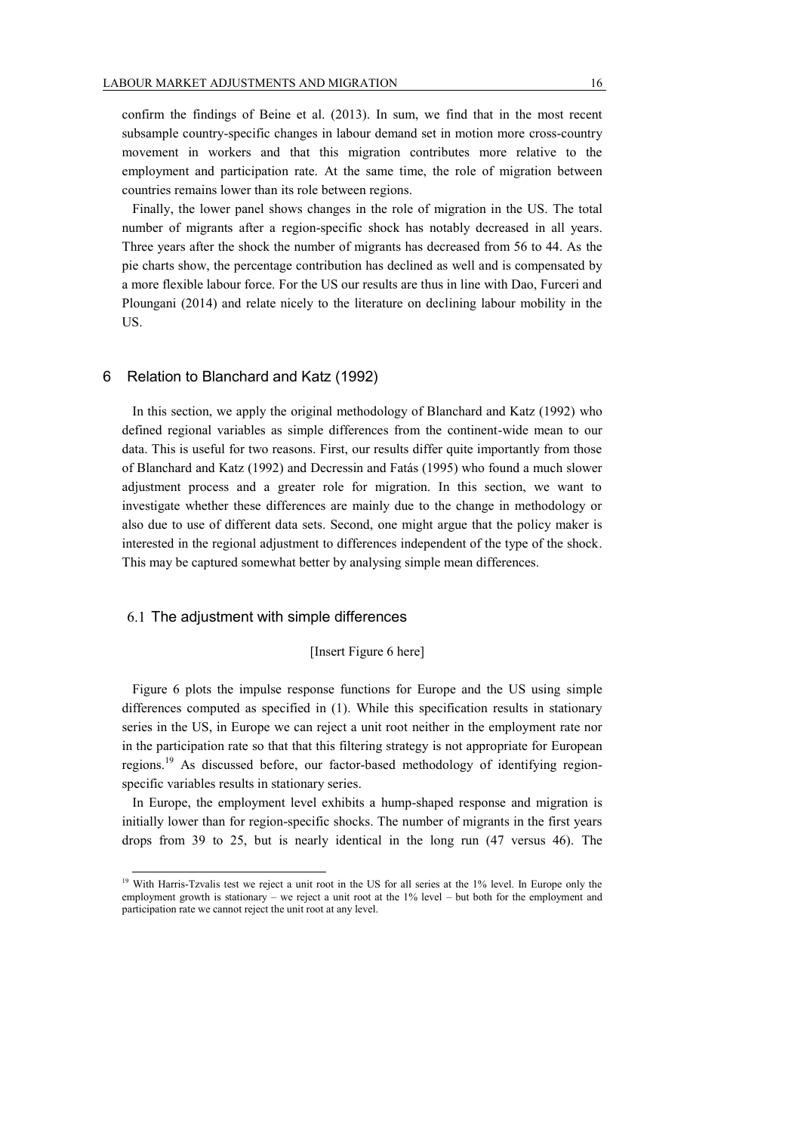confirm the findings of Beine et al. (2013). In sum, we find that in the most recent subsample country-specific changes in labour demand set in motion more cross-country movement in workers and that this migration contributes more relative to the employment and participation rate. At the same time, the role of migration between countries remains lower than its role between regions.

Finally, the lower panel shows changes in the role of migration in the US. The total number of migrants after a region-specific shock has notably decreased in all years. Three years after the shock the number of migrants has decreased from 56 to 44. As the pie charts show, the percentage contribution has declined as well and is compensated by a more flexible labour force. For the US our results are thus in line with Dao, Furceri and Ploungani (2014) and relate nicely to the literature on declining labour mobility in the US.

#### 6 Relation to Blanchard and Katz (1992)

In this section, we apply the original methodology of Blanchard and Katz (1992) who defined regional variables as simple differences from the continent-wide mean to our data. This is useful for two reasons. First, our results differ quite importantly from those of Blanchard and Katz (1992) and Decressin and Fatás (1995) who found a much slower adjustment process and a greater role for migration. In this section, we want to investigate whether these differences are mainly due to the change in methodology or also due to use of different data sets. Second, one might argue that the policy maker is interested in the regional adjustment to differences independent of the type of the shock. This may be captured somewhat better by analysing simple mean differences.

#### 6.1 The adjustment with simple differences

 $\overline{a}$ 

#### [Insert Figure 6 here]

Figure 6 plots the impulse response functions for Europe and the US using simple differences computed as specified in (1). While this specification results in stationary series in the US, in Europe we can reject a unit root neither in the employment rate nor in the participation rate so that that this filtering strategy is not appropriate for European regions.<sup>19</sup> As discussed before, our factor-based methodology of identifying regionspecific variables results in stationary series.

In Europe, the employment level exhibits a hump-shaped response and migration is initially lower than for region-specific shocks. The number of migrants in the first years drops from 39 to 25, but is nearly identical in the long run (47 versus 46). The

<sup>&</sup>lt;sup>19</sup> With Harris-Tzvalis test we reject a unit root in the US for all series at the 1% level. In Europe only the employment growth is stationary – we reject a unit root at the 1% level – but both for the employment and participation rate we cannot reject the unit root at any level.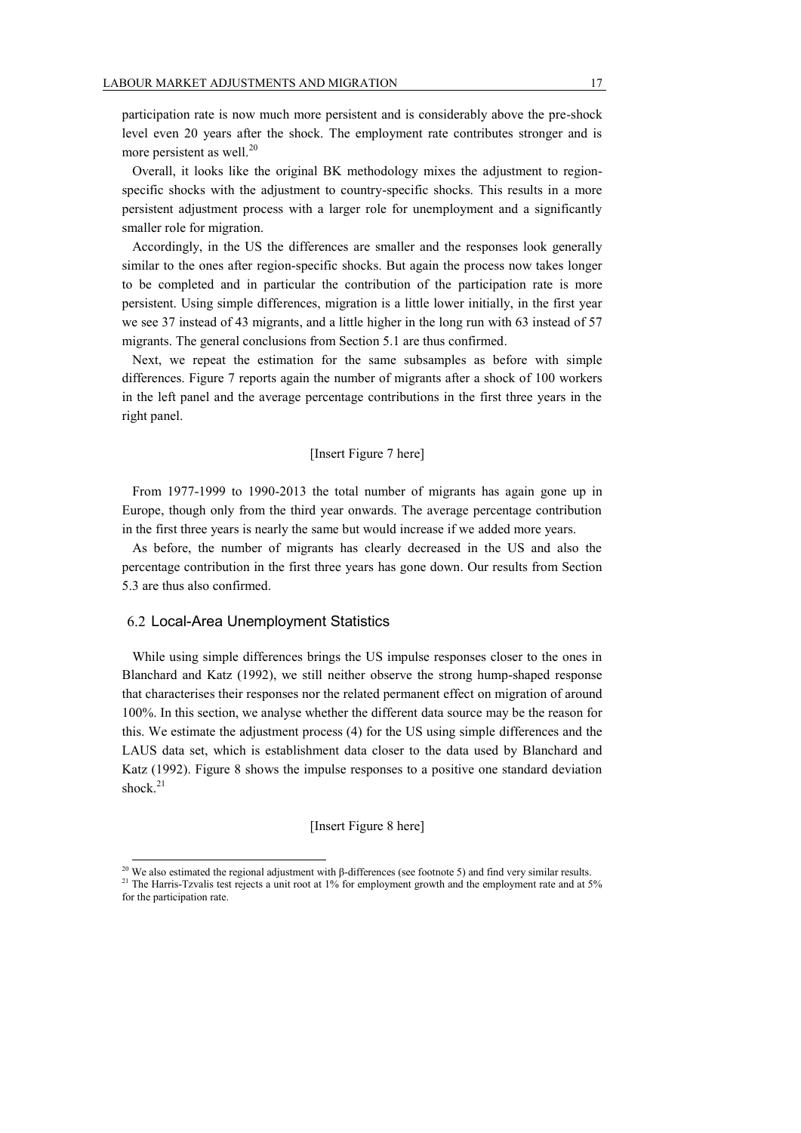participation rate is now much more persistent and is considerably above the pre-shock level even 20 years after the shock. The employment rate contributes stronger and is more persistent as well. $^{20}$ 

Overall, it looks like the original BK methodology mixes the adjustment to regionspecific shocks with the adjustment to country-specific shocks. This results in a more persistent adjustment process with a larger role for unemployment and a significantly smaller role for migration.

Accordingly, in the US the differences are smaller and the responses look generally similar to the ones after region-specific shocks. But again the process now takes longer to be completed and in particular the contribution of the participation rate is more persistent. Using simple differences, migration is a little lower initially, in the first year we see 37 instead of 43 migrants, and a little higher in the long run with 63 instead of 57 migrants. The general conclusions from Section 5.1 are thus confirmed.

Next, we repeat the estimation for the same subsamples as before with simple differences. Figure 7 reports again the number of migrants after a shock of 100 workers in the left panel and the average percentage contributions in the first three years in the right panel.

#### [Insert Figure 7 here]

From 1977-1999 to 1990-2013 the total number of migrants has again gone up in Europe, though only from the third year onwards. The average percentage contribution in the first three years is nearly the same but would increase if we added more years.

As before, the number of migrants has clearly decreased in the US and also the percentage contribution in the first three years has gone down. Our results from Section 5.3 are thus also confirmed.

#### 6.2 Local-Area Unemployment Statistics

 $\overline{a}$ 

While using simple differences brings the US impulse responses closer to the ones in Blanchard and Katz (1992), we still neither observe the strong hump-shaped response that characterises their responses nor the related permanent effect on migration of around 100%. In this section, we analyse whether the different data source may be the reason for this. We estimate the adjustment process (4) for the US using simple differences and the LAUS data set, which is establishment data closer to the data used by Blanchard and Katz (1992). Figure 8 shows the impulse responses to a positive one standard deviation shock.<sup>21</sup>

#### [Insert Figure 8 here]

<sup>&</sup>lt;sup>20</sup> We also estimated the regional adjustment with β-differences (see footnote 5) and find very similar results. <sup>21</sup> The Harris-Tzvalis test rejects a unit root at 1% for employment growth and the employment rate and at 5% for the participation rate.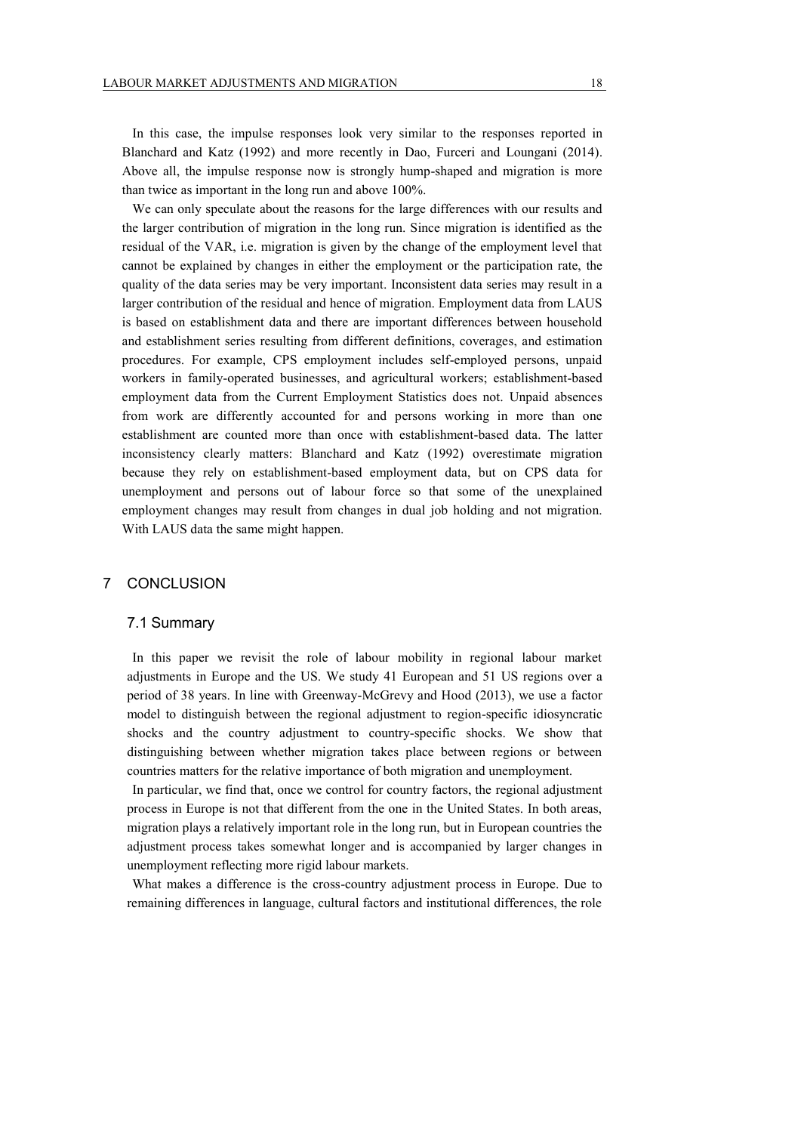In this case, the impulse responses look very similar to the responses reported in Blanchard and Katz (1992) and more recently in Dao, Furceri and Loungani (2014). Above all, the impulse response now is strongly hump-shaped and migration is more than twice as important in the long run and above 100%.

We can only speculate about the reasons for the large differences with our results and the larger contribution of migration in the long run. Since migration is identified as the residual of the VAR, i.e. migration is given by the change of the employment level that cannot be explained by changes in either the employment or the participation rate, the quality of the data series may be very important. Inconsistent data series may result in a larger contribution of the residual and hence of migration. Employment data from LAUS is based on establishment data and there are important differences between household and establishment series resulting from different definitions, coverages, and estimation procedures. For example, CPS employment includes self-employed persons, unpaid workers in family-operated businesses, and agricultural workers; establishment-based employment data from the Current Employment Statistics does not. Unpaid absences from work are differently accounted for and persons working in more than one establishment are counted more than once with establishment-based data. The latter inconsistency clearly matters: Blanchard and Katz (1992) overestimate migration because they rely on establishment-based employment data, but on CPS data for unemployment and persons out of labour force so that some of the unexplained employment changes may result from changes in dual job holding and not migration. With LAUS data the same might happen.

#### 7 CONCLUSION

#### 7.1 Summary

In this paper we revisit the role of labour mobility in regional labour market adjustments in Europe and the US. We study 41 European and 51 US regions over a period of 38 years. In line with Greenway-McGrevy and Hood (2013), we use a factor model to distinguish between the regional adjustment to region-specific idiosyncratic shocks and the country adjustment to country-specific shocks. We show that distinguishing between whether migration takes place between regions or between countries matters for the relative importance of both migration and unemployment.

In particular, we find that, once we control for country factors, the regional adjustment process in Europe is not that different from the one in the United States. In both areas, migration plays a relatively important role in the long run, but in European countries the adjustment process takes somewhat longer and is accompanied by larger changes in unemployment reflecting more rigid labour markets.

What makes a difference is the cross-country adjustment process in Europe. Due to remaining differences in language, cultural factors and institutional differences, the role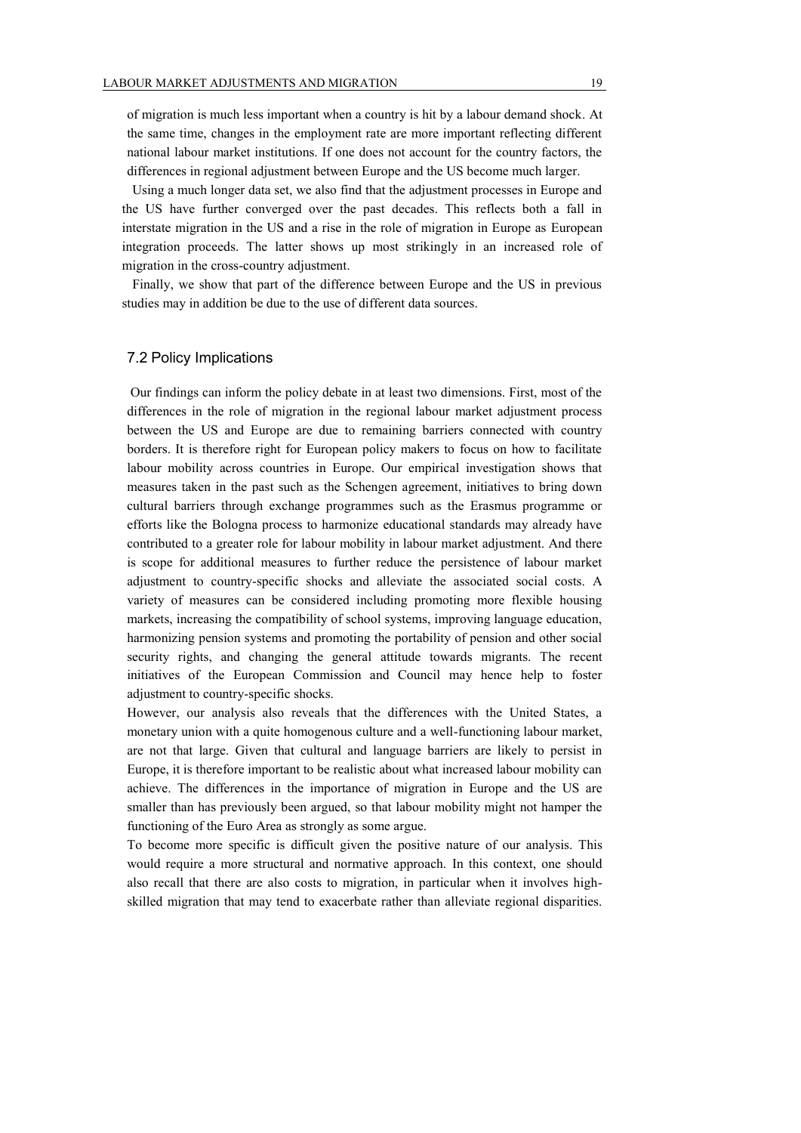of migration is much less important when a country is hit by a labour demand shock. At the same time, changes in the employment rate are more important reflecting different national labour market institutions. If one does not account for the country factors, the differences in regional adjustment between Europe and the US become much larger.

Using a much longer data set, we also find that the adjustment processes in Europe and the US have further converged over the past decades. This reflects both a fall in interstate migration in the US and a rise in the role of migration in Europe as European integration proceeds. The latter shows up most strikingly in an increased role of migration in the cross-country adjustment.

Finally, we show that part of the difference between Europe and the US in previous studies may in addition be due to the use of different data sources.

#### 7.2 Policy Implications

Our findings can inform the policy debate in at least two dimensions. First, most of the differences in the role of migration in the regional labour market adjustment process between the US and Europe are due to remaining barriers connected with country borders. It is therefore right for European policy makers to focus on how to facilitate labour mobility across countries in Europe. Our empirical investigation shows that measures taken in the past such as the Schengen agreement, initiatives to bring down cultural barriers through exchange programmes such as the Erasmus programme or efforts like the Bologna process to harmonize educational standards may already have contributed to a greater role for labour mobility in labour market adjustment. And there is scope for additional measures to further reduce the persistence of labour market adjustment to country-specific shocks and alleviate the associated social costs. A variety of measures can be considered including promoting more flexible housing markets, increasing the compatibility of school systems, improving language education, harmonizing pension systems and promoting the portability of pension and other social security rights, and changing the general attitude towards migrants. The recent initiatives of the European Commission and Council may hence help to foster adjustment to country-specific shocks.

However, our analysis also reveals that the differences with the United States, a monetary union with a quite homogenous culture and a well-functioning labour market, are not that large. Given that cultural and language barriers are likely to persist in Europe, it is therefore important to be realistic about what increased labour mobility can achieve. The differences in the importance of migration in Europe and the US are smaller than has previously been argued, so that labour mobility might not hamper the functioning of the Euro Area as strongly as some argue.

To become more specific is difficult given the positive nature of our analysis. This would require a more structural and normative approach. In this context, one should also recall that there are also costs to migration, in particular when it involves highskilled migration that may tend to exacerbate rather than alleviate regional disparities.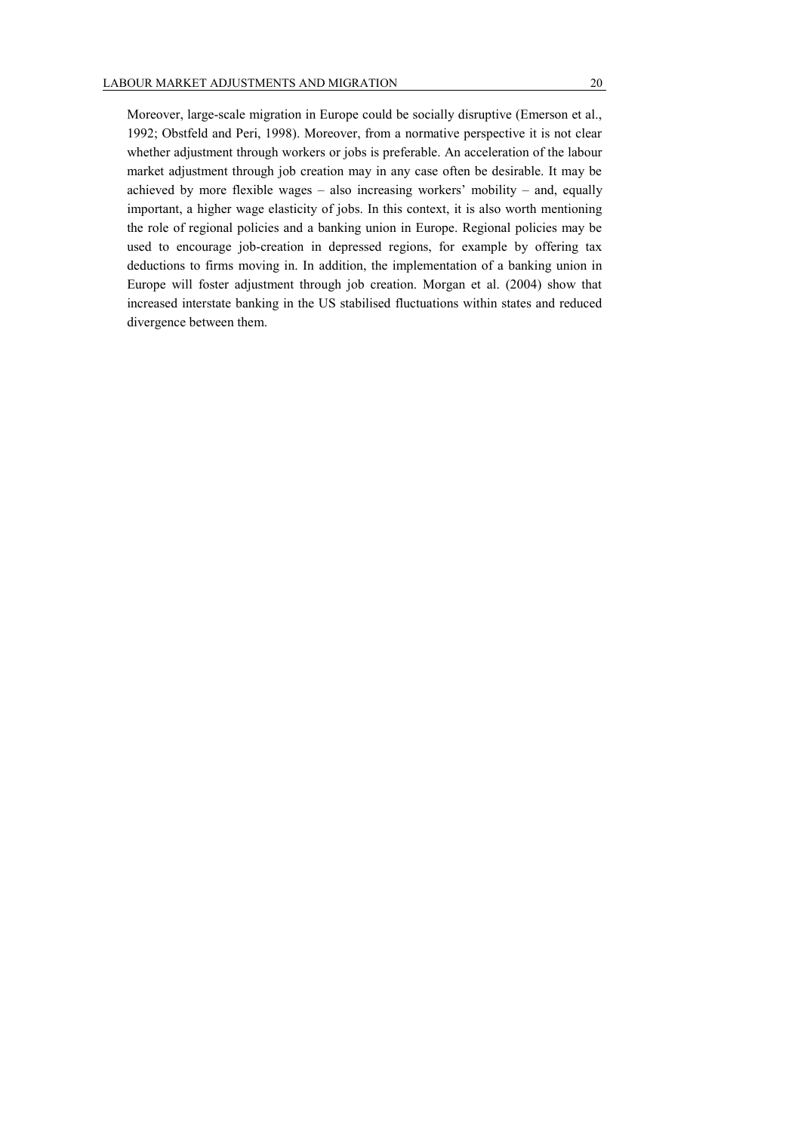Moreover, large-scale migration in Europe could be socially disruptive (Emerson et al., 1992; Obstfeld and Peri, 1998). Moreover, from a normative perspective it is not clear whether adjustment through workers or jobs is preferable. An acceleration of the labour market adjustment through job creation may in any case often be desirable. It may be achieved by more flexible wages – also increasing workers' mobility – and, equally important, a higher wage elasticity of jobs. In this context, it is also worth mentioning the role of regional policies and a banking union in Europe. Regional policies may be used to encourage job-creation in depressed regions, for example by offering tax deductions to firms moving in. In addition, the implementation of a banking union in Europe will foster adjustment through job creation. Morgan et al. (2004) show that increased interstate banking in the US stabilised fluctuations within states and reduced divergence between them.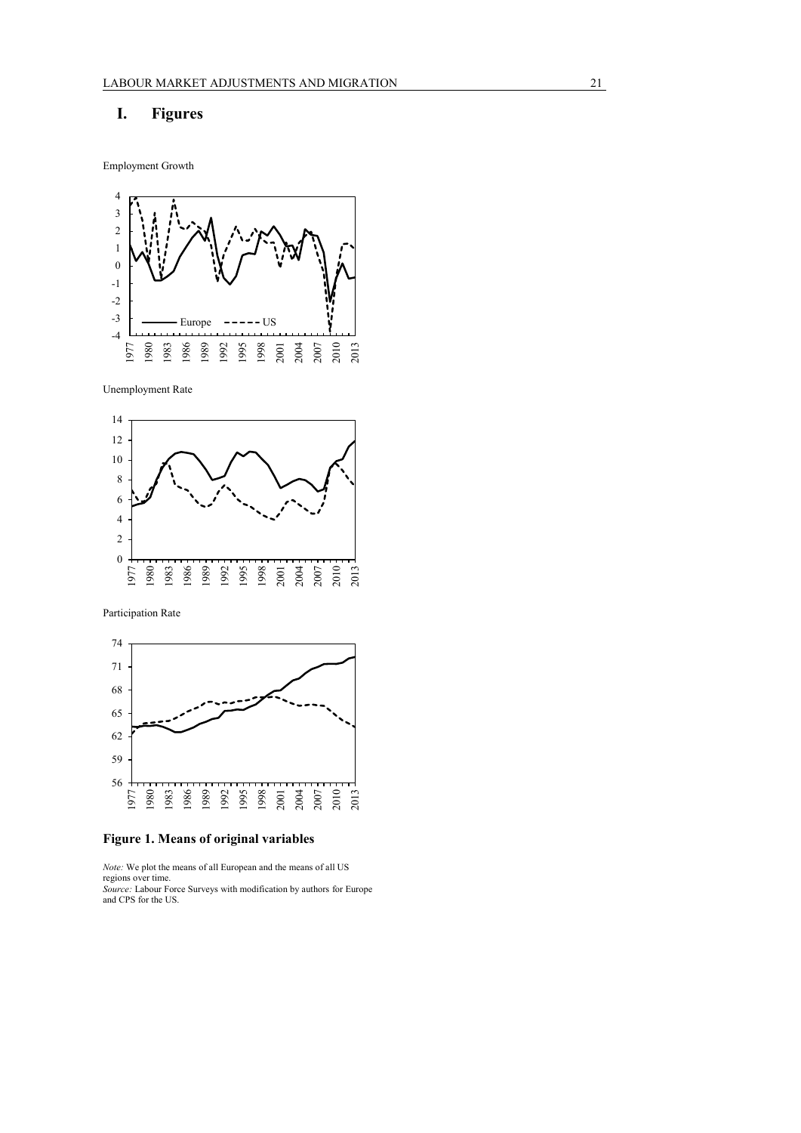## **I. Figures**

Employment Growth



Unemployment Rate



Participation Rate



**Figure 1. Means of original variables**

*Note:* We plot the means of all European and the means of all US regions over time.

*Source:* Labour Force Surveys with modification by authors for Europe and CPS for the US.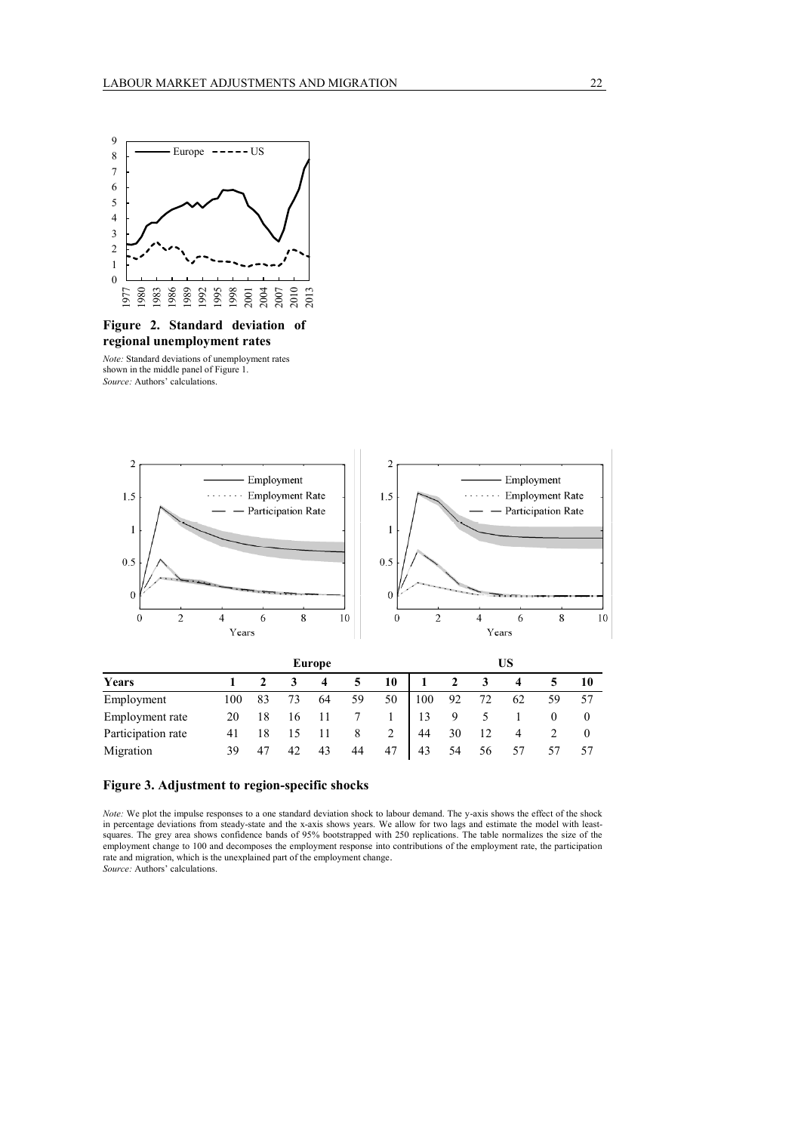

# **regional unemployment rates**

*Note:* Standard deviations of unemployment rates shown in the middle panel of Figure 1. *Source:* Authors' calculations.



|                    |     |    |    | Europe |    |    | US              |    |    |    |    |    |
|--------------------|-----|----|----|--------|----|----|-----------------|----|----|----|----|----|
| Years              |     |    |    |        |    | 10 |                 |    |    |    |    | 10 |
| Employment         | 100 | 83 | 73 | 64     | 59 | 50 | $\parallel$ 100 | 92 | 72 | 62 | 59 |    |
| Employment rate    |     |    |    |        |    |    |                 |    |    |    |    |    |
| Participation rate | 41  |    |    |        |    | 2  | 44              | 30 | 12 |    |    |    |
| Migration          | 39  | 47 | 42 | 43     | 44 | 47 | 43              | 54 | 56 |    |    |    |

#### **Figure 3. Adjustment to region-specific shocks**

*Note:* We plot the impulse responses to a one standard deviation shock to labour demand. The y-axis shows the effect of the shock in percentage deviations from steady-state and the x-axis shows years. We allow for two lags and estimate the model with leastsquares. The grey area shows confidence bands of 95% bootstrapped with 250 replications. The table normalizes the size of the employment change to 100 and decomposes the employment response into contributions of the employment rate, the participation rate and migration, which is the unexplained part of the employment change. *Source:* Authors' calculations.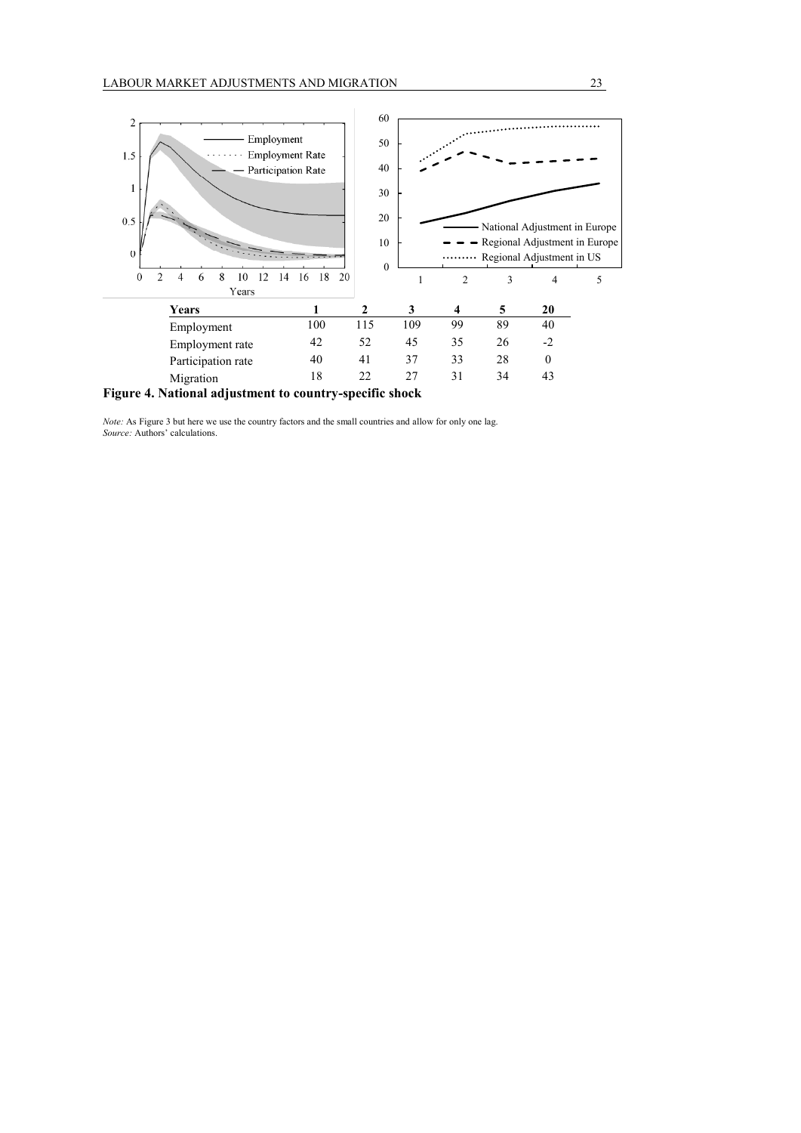

**Figure 4. National adjustment to country-specific shock**

*Note:* As Figure 3 but here we use the country factors and the small countries and allow for only one lag. *Source:* Authors' calculations.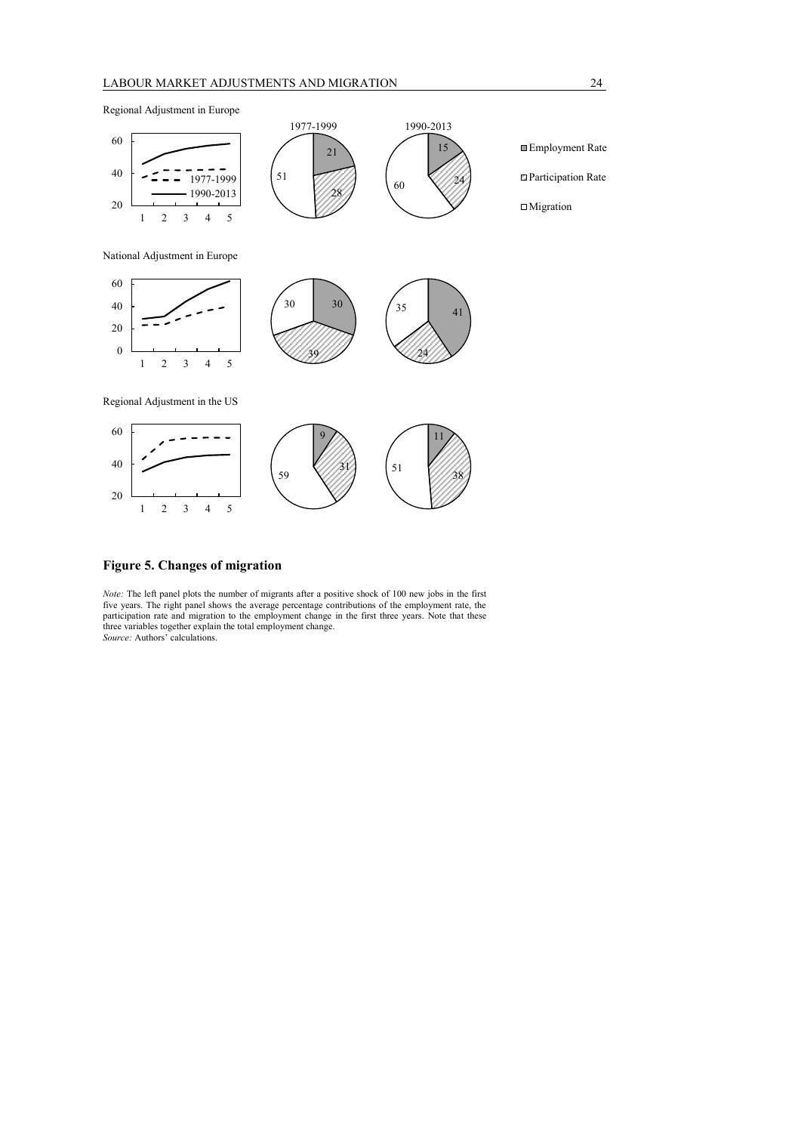Regional Adjustment in Europe



#### **Figure 5. Changes of migration**

2 3 4 5

*Note:* The left panel plots the number of migrants after a positive shock of 100 new jobs in the first five years. The right panel shows the average percentage contributions of the employment rate, the participation rate and migration to the employment change in the first three years. Note that these three variables together explain the total employment change. *Source:* Authors' calculations.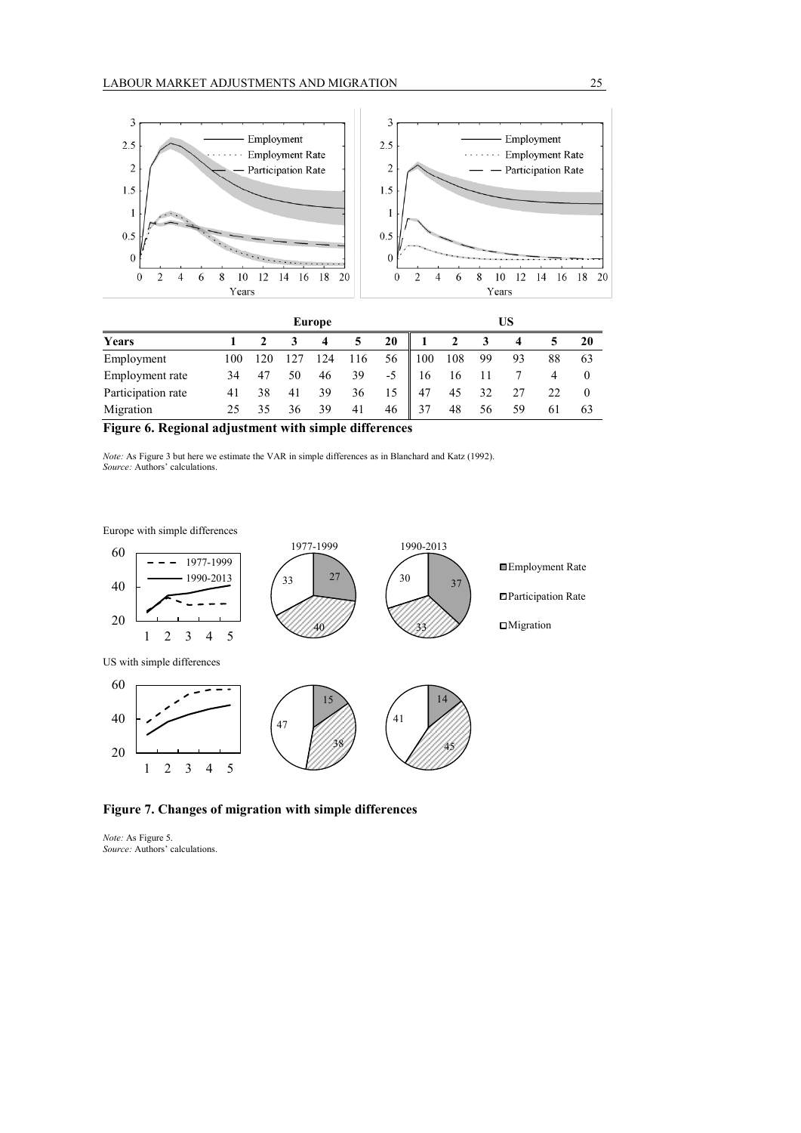

|                    |     |     |    | <b>Europe</b> |     |    | US  |     |    |    |    |    |
|--------------------|-----|-----|----|---------------|-----|----|-----|-----|----|----|----|----|
| Years              |     |     |    |               |     | 20 |     |     |    |    |    | 20 |
| Employment         | 100 | 120 |    | 124           | 116 | 56 | 100 | 108 | 99 | 93 | 88 | 63 |
| Employment rate    | 34  | 47  | 50 | 46            | 39  | -5 | 16  |     |    |    |    |    |
| Participation rate |     | 38  | 41 | 39            | 36  | 15 | 47  | 45  | 32 |    | 22 |    |
| Migration          |     | 35  | 36 | 39            | 41  | 46 | 37  | 48  | 56 | 59 | 61 | 63 |

**Figure 6. Regional adjustment with simple differences** 

*Note:* As Figure 3 but here we estimate the VAR in simple differences as in Blanchard and Katz (1992). *Source:* Authors' calculations.

Europe with simple differences



## **Figure 7. Changes of migration with simple differences**

*Note:* As Figure 5. *Source:* Authors' calculations.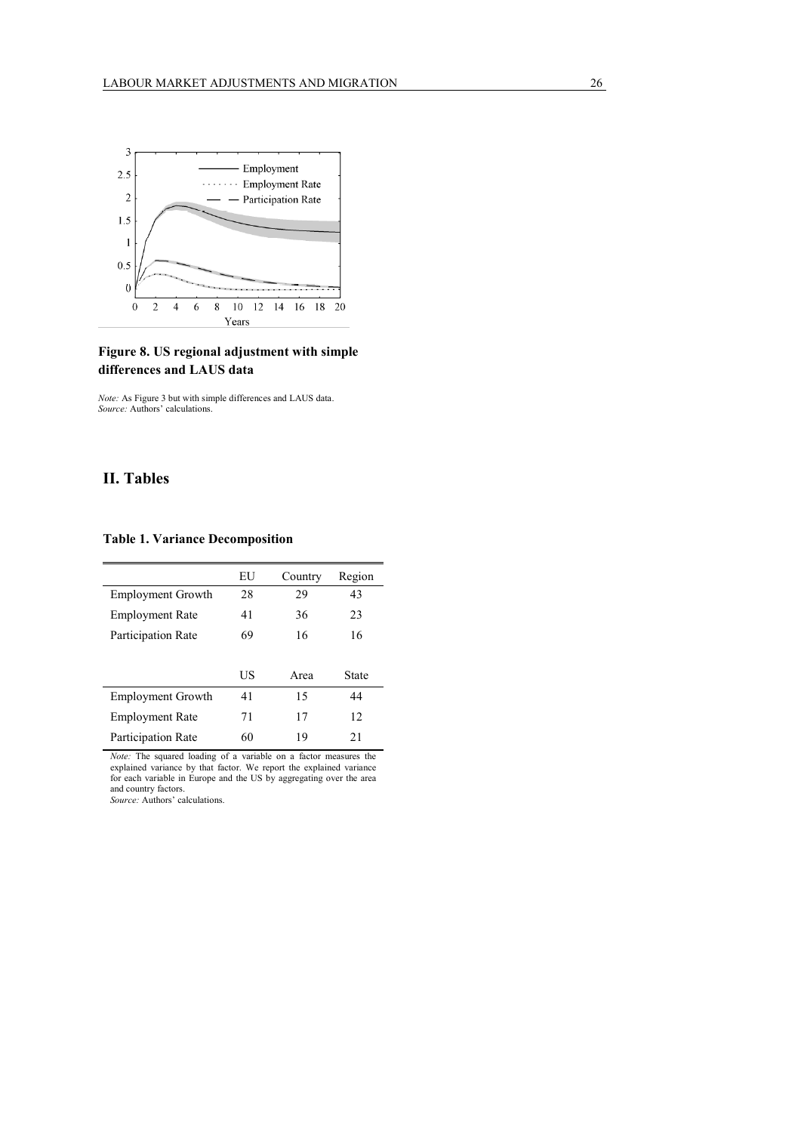

## **Figure 8. US regional adjustment with simple differences and LAUS data**

*Note:* As Figure 3 but with simple differences and LAUS data. *Source:* Authors' calculations.

## **II. Tables**

#### **Table 1. Variance Decomposition**

|                          | EU | Country | Region |
|--------------------------|----|---------|--------|
| <b>Employment Growth</b> | 28 | 29      | 43     |
| <b>Employment Rate</b>   | 41 | 36      | 23     |
| Participation Rate       | 69 | 16      | 16     |
|                          |    |         |        |
|                          | US | Area    | State  |
| <b>Employment Growth</b> | 41 | 15      | 44     |
| <b>Employment Rate</b>   | 71 | 17      | 12     |
| Participation Rate       | 60 | 19      | 21     |

*Note:* The squared loading of a variable on a factor measures the explained variance by that factor. We report the explained variance for each variable in Europe and the US by aggregating over the area and country factors.

*Source:* Authors' calculations.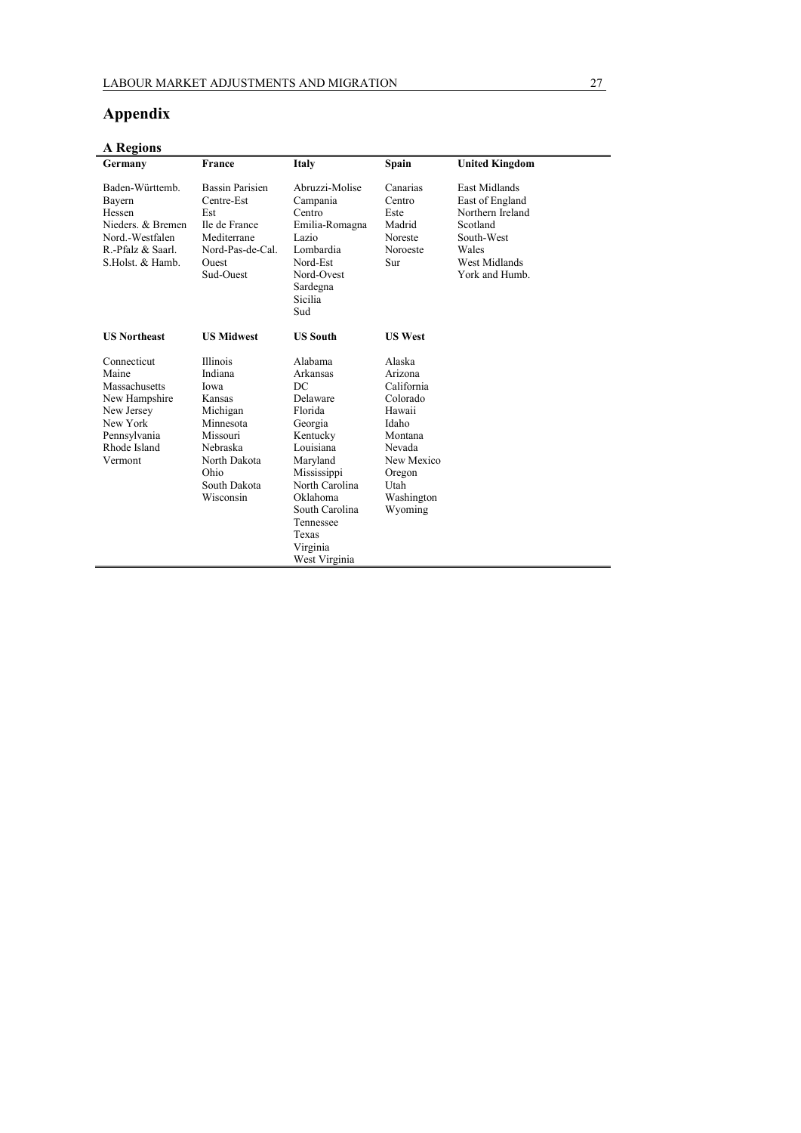# **Appendix**

| <b>A</b> Regions                                                                                                            |                                                                                                                                             |                                                                                                                                                                                                                    |                                                                                                                                              |                                                                                                                            |
|-----------------------------------------------------------------------------------------------------------------------------|---------------------------------------------------------------------------------------------------------------------------------------------|--------------------------------------------------------------------------------------------------------------------------------------------------------------------------------------------------------------------|----------------------------------------------------------------------------------------------------------------------------------------------|----------------------------------------------------------------------------------------------------------------------------|
| Germany                                                                                                                     | France                                                                                                                                      | Italy                                                                                                                                                                                                              | <b>Spain</b>                                                                                                                                 | <b>United Kingdom</b>                                                                                                      |
| Baden-Württemb.<br>Bayern<br>Hessen<br>Nieders & Bremen<br>Nord.-Westfalen<br>R.-Pfalz & Saarl.<br>S.Holst. & Hamb.         | <b>Bassin Parisien</b><br>Centre-Est<br>Est<br>Ile de France<br>Mediterrane<br>Nord-Pas-de-Cal.<br><b>Ouest</b><br>Sud-Ouest                | Abruzzi-Molise<br>Campania<br>Centro<br>Emilia-Romagna<br>Lazio<br>Lombardia<br>Nord-Est<br>Nord-Ovest<br>Sardegna<br>Sicilia<br>Sud                                                                               | Canarias<br>Centro<br>Este<br>Madrid<br>Noreste<br>Noroeste<br>Sur                                                                           | East Midlands<br>East of England<br>Northern Ireland<br>Scotland<br>South-West<br>Wales<br>West Midlands<br>York and Humb. |
| <b>US Northeast</b>                                                                                                         | <b>US Midwest</b>                                                                                                                           | <b>US South</b>                                                                                                                                                                                                    | <b>US West</b>                                                                                                                               |                                                                                                                            |
| Connecticut<br>Maine<br>Massachusetts<br>New Hampshire<br>New Jersey<br>New York<br>Pennsylvania<br>Rhode Island<br>Vermont | Illinois<br>Indiana<br>Iowa<br>Kansas<br>Michigan<br>Minnesota<br>Missouri<br>Nebraska<br>North Dakota<br>Ohio<br>South Dakota<br>Wisconsin | Alabama<br>Arkansas<br>DC<br>Delaware<br>Florida<br>Georgia<br>Kentucky<br>Louisiana<br>Maryland<br>Mississippi<br>North Carolina<br>Oklahoma<br>South Carolina<br>Tennessee<br>Texas<br>Virginia<br>West Virginia | Alaska<br>Arizona<br>California<br>Colorado<br>Hawaii<br>Idaho<br>Montana<br>Nevada<br>New Mexico<br>Oregon<br>Utah<br>Washington<br>Wyoming |                                                                                                                            |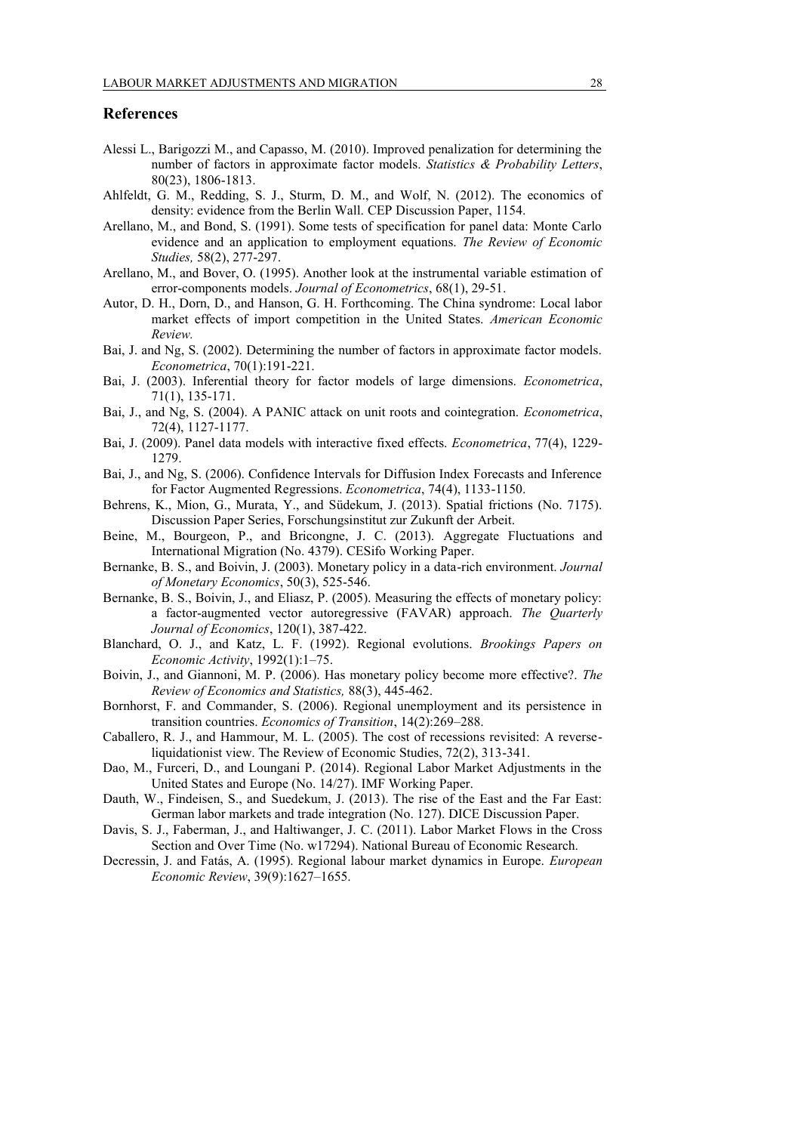## **References**

- Alessi L., Barigozzi M., and Capasso, M. (2010). Improved penalization for determining the number of factors in approximate factor models. *Statistics & Probability Letters*, 80(23), 1806-1813.
- Ahlfeldt, G. M., Redding, S. J., Sturm, D. M., and Wolf, N. (2012). The economics of density: evidence from the Berlin Wall. CEP Discussion Paper, 1154.
- Arellano, M., and Bond, S. (1991). Some tests of specification for panel data: Monte Carlo evidence and an application to employment equations. *The Review of Economic Studies,* 58(2), 277-297.
- Arellano, M., and Bover, O. (1995). Another look at the instrumental variable estimation of error-components models. *Journal of Econometrics*, 68(1), 29-51.
- Autor, D. H., Dorn, D., and Hanson, G. H. Forthcoming. The China syndrome: Local labor market effects of import competition in the United States. *American Economic Review.*
- Bai, J. and Ng, S. (2002). Determining the number of factors in approximate factor models. *Econometrica*, 70(1):191-221.
- Bai, J. (2003). Inferential theory for factor models of large dimensions. *Econometrica*, 71(1), 135-171.
- Bai, J., and Ng, S. (2004). A PANIC attack on unit roots and cointegration. *Econometrica*, 72(4), 1127-1177.
- Bai, J. (2009). Panel data models with interactive fixed effects. *Econometrica*, 77(4), 1229- 1279.
- Bai, J., and Ng, S. (2006). Confidence Intervals for Diffusion Index Forecasts and Inference for Factor Augmented Regressions. *Econometrica*, 74(4), 1133-1150.
- Behrens, K., Mion, G., Murata, Y., and Südekum, J. (2013). Spatial frictions (No. 7175). Discussion Paper Series, Forschungsinstitut zur Zukunft der Arbeit.
- Beine, M., Bourgeon, P., and Bricongne, J. C. (2013). Aggregate Fluctuations and International Migration (No. 4379). CESifo Working Paper.
- Bernanke, B. S., and Boivin, J. (2003). Monetary policy in a data-rich environment. *Journal of Monetary Economics*, 50(3), 525-546.
- Bernanke, B. S., Boivin, J., and Eliasz, P. (2005). Measuring the effects of monetary policy: a factor-augmented vector autoregressive (FAVAR) approach. *The Quarterly Journal of Economics*, 120(1), 387-422.
- Blanchard, O. J., and Katz, L. F. (1992). Regional evolutions. *Brookings Papers on Economic Activity*, 1992(1):1–75.
- Boivin, J., and Giannoni, M. P. (2006). Has monetary policy become more effective?. *The Review of Economics and Statistics,* 88(3), 445-462.
- Bornhorst, F. and Commander, S. (2006). Regional unemployment and its persistence in transition countries. *Economics of Transition*, 14(2):269–288.
- Caballero, R. J., and Hammour, M. L. (2005). The cost of recessions revisited: A reverseliquidationist view. The Review of Economic Studies, 72(2), 313-341.
- Dao, M., Furceri, D., and Loungani P. (2014). Regional Labor Market Adjustments in the United States and Europe (No. 14/27). IMF Working Paper.
- Dauth, W., Findeisen, S., and Suedekum, J. (2013). The rise of the East and the Far East: German labor markets and trade integration (No. 127). DICE Discussion Paper.
- Davis, S. J., Faberman, J., and Haltiwanger, J. C. (2011). Labor Market Flows in the Cross Section and Over Time (No. w17294). National Bureau of Economic Research.
- Decressin, J. and Fatás, A. (1995). Regional labour market dynamics in Europe. *European Economic Review*, 39(9):1627–1655.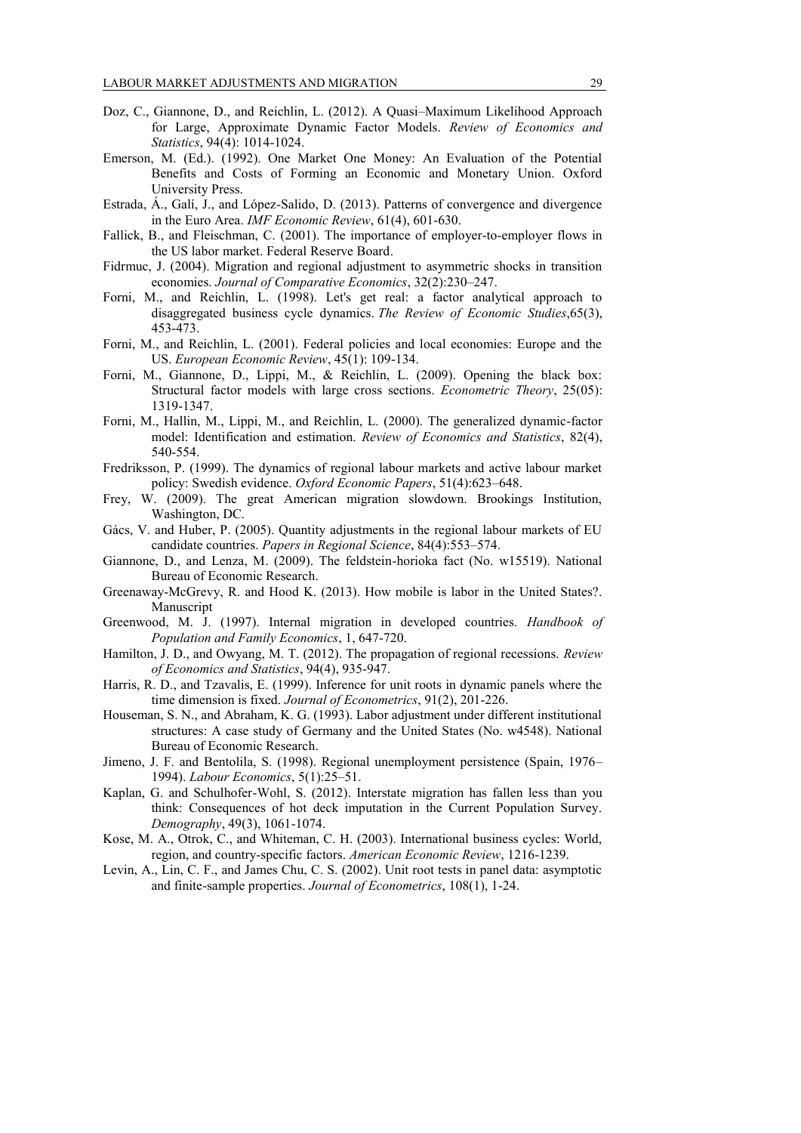- Doz, C., Giannone, D., and Reichlin, L. (2012). A Quasi–Maximum Likelihood Approach for Large, Approximate Dynamic Factor Models. *Review of Economics and Statistics*, 94(4): 1014-1024.
- Emerson, M. (Ed.). (1992). One Market One Money: An Evaluation of the Potential Benefits and Costs of Forming an Economic and Monetary Union. Oxford University Press.
- Estrada, Á., Galí, J., and López-Salido, D. (2013). Patterns of convergence and divergence in the Euro Area. *IMF Economic Review*, 61(4), 601-630.
- Fallick, B., and Fleischman, C. (2001). The importance of employer-to-employer flows in the US labor market. Federal Reserve Board.
- Fidrmuc, J. (2004). Migration and regional adjustment to asymmetric shocks in transition economies. *Journal of Comparative Economics*, 32(2):230–247.
- Forni, M., and Reichlin, L. (1998). Let's get real: a factor analytical approach to disaggregated business cycle dynamics. *The Review of Economic Studies*,65(3), 453-473.
- Forni, M., and Reichlin, L. (2001). Federal policies and local economies: Europe and the US. *European Economic Review*, 45(1): 109-134.
- Forni, M., Giannone, D., Lippi, M., & Reichlin, L. (2009). Opening the black box: Structural factor models with large cross sections. *Econometric Theory*, 25(05): 1319-1347.
- Forni, M., Hallin, M., Lippi, M., and Reichlin, L. (2000). The generalized dynamic-factor model: Identification and estimation. *Review of Economics and Statistics*, 82(4), 540-554.
- Fredriksson, P. (1999). The dynamics of regional labour markets and active labour market policy: Swedish evidence. *Oxford Economic Papers*, 51(4):623–648.
- Frey, W. (2009). The great American migration slowdown. Brookings Institution, Washington, DC.
- Gács, V. and Huber, P. (2005). Quantity adjustments in the regional labour markets of EU candidate countries. *Papers in Regional Science*, 84(4):553–574.
- Giannone, D., and Lenza, M. (2009). The feldstein-horioka fact (No. w15519). National Bureau of Economic Research.
- Greenaway-McGrevy, R. and Hood K. (2013). How mobile is labor in the United States?. Manuscript
- Greenwood, M. J. (1997). Internal migration in developed countries. *Handbook of Population and Family Economics*, 1, 647-720.
- Hamilton, J. D., and Owyang, M. T. (2012). The propagation of regional recessions. *Review of Economics and Statistics*, 94(4), 935-947.
- Harris, R. D., and Tzavalis, E. (1999). Inference for unit roots in dynamic panels where the time dimension is fixed. *Journal of Econometrics*, 91(2), 201-226.
- Houseman, S. N., and Abraham, K. G. (1993). Labor adjustment under different institutional structures: A case study of Germany and the United States (No. w4548). National Bureau of Economic Research.
- Jimeno, J. F. and Bentolila, S. (1998). Regional unemployment persistence (Spain, 1976– 1994). *Labour Economics*, 5(1):25–51.
- Kaplan, G. and Schulhofer-Wohl, S. (2012). Interstate migration has fallen less than you think: Consequences of hot deck imputation in the Current Population Survey. *Demography*, 49(3), 1061-1074.
- Kose, M. A., Otrok, C., and Whiteman, C. H. (2003). International business cycles: World, region, and country-specific factors. *American Economic Review*, 1216-1239.
- Levin, A., Lin, C. F., and James Chu, C. S. (2002). Unit root tests in panel data: asymptotic and finite-sample properties. *Journal of Econometrics*, 108(1), 1-24.